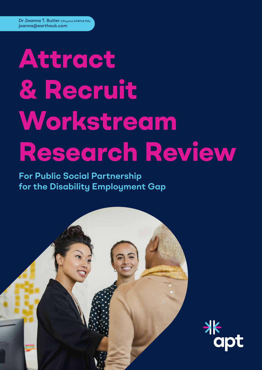# **Attract & Recruit Workstream Research Review**

**For Public Social Partnership for the Disability Employment Gap**



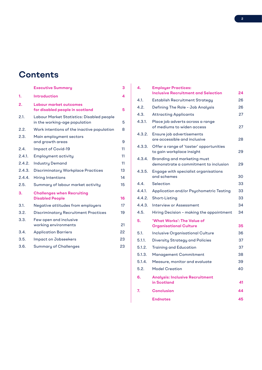# **Contents**

|        | <b>Executive Summary</b>                                                   | 3  |
|--------|----------------------------------------------------------------------------|----|
| 1.     | Introduction                                                               | 4  |
| 2.     | <b>Labour market outcomes</b><br>for disabled people in scotland           | 5  |
| 2.1.   | Labour Market Statistics: Disabled people<br>in the working-age population | 5  |
| 2.2.   | Work intentions of the inactive population                                 | 8  |
| 2.3.   | Main employment sectors<br>and growth areas                                | 9  |
| 2.4.   | Impact of Covid-19                                                         | 11 |
| 2.4.1. | <b>Employment activity</b>                                                 | 11 |
| 2.4.2. | <b>Industry Demand</b>                                                     | 11 |
| 2.4.3. | <b>Discriminatory Workplace Practices</b>                                  | 13 |
| 2.4.4. | Hiring Intentions                                                          | 14 |
| 2.5.   | Summary of labour market activity                                          | 15 |
| 3.     | <b>Challenges when Recruiting</b><br><b>Disabled People</b>                | 16 |
| 3.1.   | Negative attitudes from employers                                          | 17 |
| 3.2.   | <b>Discriminatory Recruitment Practices</b>                                | 19 |
| 3.3.   | Few open and inclusive<br>working environments                             | 21 |
| 3.4.   | <b>Application Barriers</b>                                                | 22 |
| 3.5.   | Impact on Jobseekers                                                       | 23 |
| 3.6.   | <b>Summary of Challenges</b>                                               | 23 |
|        |                                                                            |    |

| 4.     | <b>Employer Practices:</b><br><b>Inclusive Recruitment and Selection</b> | 24 |
|--------|--------------------------------------------------------------------------|----|
| 4.1.   | Establish Recruitment Strategy                                           | 26 |
| 4.2.   | Defining The Role - Job Analysis                                         | 26 |
| 4.3.   | <b>Attracting Applicants</b>                                             | 27 |
| 4.3.1. | Place job adverts across a range<br>of mediums to widen access           | 27 |
| 4.3.2. | Ensure job advertisements<br>are accessible and inclusive                | 28 |
| 4.3.3. | Offer a range of 'taster' opportunities<br>to gain workplace insight     | 29 |
| 4.3.4. | Branding and marketing must<br>demonstrate a commitment to inclusion     | 29 |
| 4.3.5. | Engage with specialist organisations<br>and schemes                      | 30 |
| 4.4.   | Selection                                                                | 33 |
| 4.4.1. | Application and/or Psychometric Testing                                  | 33 |
| 4.4.2. | Short-Listing                                                            | 33 |
| 4.4.3. | Interview or Assessment                                                  | 34 |
| 4.5.   | Hiring Decision - making the appointment                                 | 34 |
| 5.     | 'What Works': The Value of<br><b>Organisational Culture</b>              | 35 |
| 5.1.   | <b>Inclusive Organisational Culture</b>                                  | 36 |
| 5.1.1. | <b>Diversity Strategy and Policies</b>                                   | 37 |
| 5.1.2. | <b>Training and Education</b>                                            | 37 |
| 5.1.3. | Management Commitment                                                    | 38 |
| 5.1.4. | Measure, monitor and evaluate                                            | 39 |
| 5.2.   | <b>Model Creation</b>                                                    | 40 |
| 6.     | <b>Analysis: Inclusive Recruitment</b><br>in Scotland                    | 41 |
| 7.     | <b>Conclusion</b>                                                        | 44 |
|        | <b>Endnotes</b>                                                          | 45 |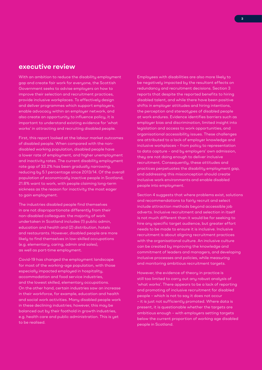# **executive review**

With an ambition to reduce the disability employment gap and create fair work for everyone, the Scottish Government seeks to advise employers on how to improve their selection and recruitment practices, provide inclusive workplaces. To effectively design and deliver programmes which support employers, enable advocacy within an employer network, and also create an opportunity to influence policy, it is important to understand existing evidence for 'what works' in attracting and recruiting disabled people.

First, this report looked at the labour market outcomes of disabled people. When compared with the nondisabled working population, disabled people have a lower rate of employment, and higher unemployment and inactivity rates. The current disability employment rate gap of 33.2% has been gradually narrowing, reducing by 5.1 percentage since 2013/14. Of the overall population of economically inactive people in Scotland, 21.8% want to work, with people claiming long-term sickness as the reason for inactivity the most eager to gain employment.

The industries disabled people find themselves in are not disproportionate differently from their non-disabled colleagues: the majority of work undertaken in Scotland includes (1) public admin, education and health and (2) distribution, hotels and restaurants. However, disabled people are more likely to find themselves in low-skilled occupations (e.g. elementary, caring, admin and sales), as well as part-time employment.

Covid-19 has changed the employment landscape for most of the working-age population, with those especially impacted employed in hospitality, accommodation and food service industries, and the lowest skilled, elementary occupations. On the other hand, certain industries saw an increase in their workforce, for example, education and health and social work activities. Many disabled people work in these declining industries; however, this may be balanced out by their foothold in growth industries, e.g. health care and public administration. This is yet to be realised.

Employees with disabilities are also more likely to be negatively impacted by the resultant effects on redundancy and recruitment decisions. Section 3 reports that despite the reported benefits to hiring disabled talent, and while there have been positive shifts in employer attitudes and hiring intentions, the perception and stereotypes of disabled people at work endures. Evidence identifies barriers such as employer bias and discrimination, limited insight into legislation and access to work opportunities, and organisational accessibility issues. These challenges are attributed to a lack of employer knowledge and inclusive workplaces – from policy to representation to data capture – and by employers' own admission, they are not doing enough to deliver inclusive recruitment. Consequently, these attitudes and practices perpetuates the disability employment gap, and addressing this misconception should create inclusive work environments and enable disabled people into employment.

Section 4 suggests that where problems exist, solutions and recommendations to fairly recruit and select include attraction methods beyond accessible job adverts. Inclusive recruitment and selection in itself is not much different than it would be for seeking to hire any specific target audience, but greater effort needs to be made to ensure it is inclusive. Inclusive recruitment is about aligning recruitment practices with the organisational culture. An inclusive culture can be created by improving the knowledge and commitment of leaders and managers, and developing inclusive processes and policies, while measuring and monitoring ambitious recruitment targets.

However, the evidence of theory in practice is still too limited to carry out any robust analysis of 'what works'. There appears to be a lack of reporting and promoting of inclusive recruitment for disabled people – which is not to say it does not occur – it is just not sufficiently promoted. Where data is present, it is questionable whether the targets are ambitious enough – with employers setting targets below the current proportion of working age disabled people in Scotland.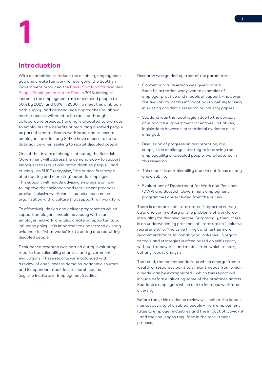# **introduction**

With an ambition to reduce the disability employment gap and create fair work for everyone, the Scottish Government produced the Fairer Scotland for disabled People Employment Action Plan in 2018, aiming to increase the employment rate of disabled people to 50% by 2023, and 60% in 2030. To meet this ambition, both supply- and demand-side approaches to labour market access will need to be tackled through collaborative projects. Funding is allocated to promote to employers the benefits of recruiting disabled people as part of a more diverse workforce, and to ensure employers (particularly SMEs) have access to up to date advice when seeking to recruit disabled people.

One of the drivers of change set out by the Scottish Government will address the demand side – to support employers to recruit and retain disabled people – and crucially, as SUSE recognise, "the critical first stage of attracting and recruiting" potential employees. This support will include advising employers on how to improve their selection and recruitment practices, provide inclusive workplaces, but also become an organisation with a culture that support fair work for all.

To effectively design and deliver programmes which support employers, enable advocacy within an employer network, and also create an opportunity to influence policy, it is important to understand existing evidence for 'what works' in attracting and recruiting disabled people.

Desk-based research was carried out by evaluating reports from disability charities and government evaluations. These reports were balanced with a review of open-access domains, academic sources and independent apolitical research bodies (e.g. the Institute of Employment Studies).

Research was guided by a set of the parameters:

- Contemporary research was given priority. Specific attention was given to examples of employer practice and models of support – however, the availability of this information is woefully lacking in existing academic research or industry papers.
- Scotland was the focal region due to the context of support (i.e. government incentives, initiatives, legislation); however, international evidence also emerged.
- Discussion of progression and retention, nor supply-side challenges relating to improving the employability of disabled people, were featured in this research.
- This report is pan-disability and did not focus on any one disability.
- Evaluations of Department for Work and Pensions (DWP) and Scottish Government employment programmes are excluded from the review.

There is a breadth of literature, self-reported survey data and commentary on the problems of workforce inequality for disabled people. Surprisingly, then, there is an underwhelming presence of literature on "inclusive recruitment" or "inclusive hiring", and furthermore recommendations for 'what good looks like' in regard to tools and strategies is often based on self-report, without frameworks and models from which to carry out any robust analysis.

That said, the recommendations which emerge from a wealth of resources point to similar threads from which a model can be extrapolated – which this report will include before evaluating some of the practices across Scotland's employers which aim to increase workforce diversity.

Before that, this evidence review will look at the labour market activity of disabled people – from employment rates to employer industries and the impact of Covid-19 - and the challenges they face in the recruitment process.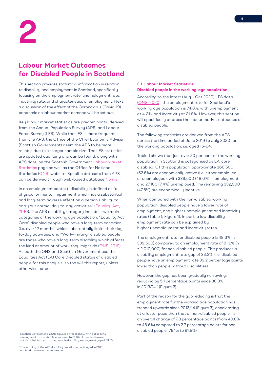# **Labour Market Outcomes for Disabled People in Scotland**

This section provides statistical information in relation to disability and employment in Scotland, specifically focusing on the employment rate, unemployment rate, inactivity rate, and characteristics of employment. Next a discussion of the effect of the Coronavirus (Covid-19) pandemic on labour market demand will be set out.

Key labour market statistics are predominantly derived from the Annual Population Survey (APS) and Labour Force Survey (LFS). While the LFS is more frequent than the APS, the Office of the Chief Economic Adviser (Scottish Government) deem the APS to be more reliable due to its larger sample size. The LFS statistics are updated quarterly and can be found, along with APS date, on the Scottish Government Labour Market Statistics page as well as the Office for National Statistics (ONS) website. Specific datasets from APS can be derived through web-based database Nomis.

In an employment context, disability is defined as "a physical or mental impairment which has a substantial and long-term adverse effect on a person's ability to carry out normal day-to-day activities" (Equality Act, 2010). The APS disability category includes two main categories of the working age population: "Equality Act Core" disabled people who have a long-term condition (i.e. over 12 months) which substantially limits their dayto-day activities; and "Work-limiting" disabled people are those who have a long-term disability which affects the kind or amount of work they might do (ONS, 2019). As both the ONS and Scottish Government use the Equalities Act (EA) Core Disabled status of disabled people for this analysis, so too will this report, unless otherwise noted.

<sup>1</sup> Scottish Government's 2018 figures differ slightly, with a disability employment rate of 47.8%, compared to 81.3% of people who are not disabled, but with a comparable disability employment gap of 33.5%.

#### <sup>2</sup> The wording of the APS disability question was changed in 2013, earlier dates are not comparable.

# **2.1. Labour Market Statistics: Disabled people in the working-age population**

According to the latest (Aug – Oct 2020) LFS data (ONS, 2020), the employment rate for Scotland's working age population is 74.8%, with unemployment at 4.2%, and inactivity at 21.8%. However, this section will specifically address the labour market outcomes of disabled people.

The following statistics are derived from the APS across the time period of June 2019 to July 2020 for the working population, i.e. aged 16-64.

Table 1 shows that just over 20 per cent of the working population in Scotland is categorised as EA 'core' disabled. Of this population, approximate 366,500 (52.5%) are economically active (i.e. either employed or unemployed), with 339,500 (48.6%) in employment and 27,100 (7.4%) unemployed. The remaining 332,300 (47.5%) are economically inactive.

When compared with the non-disabled working population, disabled people have a lower rate of employment, and higher unemployment and inactivity rates (Table 1; Figure 1). In part, a low disability employment rate can be explained by higher unemployment and inactivity rates.

The employment rate for disabled people is 48.6% (n = 339,500) compared to an employment rate of 81.8% (n = 2,010,000) for non-disabled people. This produces a disability employment rate gap of 33.2%1 (i.e. disabled people have an employment rate 33.2 percentage points lower than people without disabilities).

However, the gap has been gradually narrowing, reducing by 5.1 percentage points since 38.3% in 2013/14<sup>2</sup> (Figure 2).

Part of the reason for the gap reducing is that the employment rate for the working age population has trended upwards since 2013/14 (Figure 3), accelerating at a faster pace than that of non-disabled people, i.e. an overall change of 7.8 percentage points (from 40.8% to 48.6%) compared to 2.7 percentage points for nondisabled people (79.1% to 81.8%).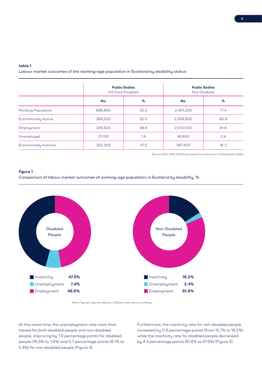# **table 1**

Labour market outcomes of the working-age population in Scotland by disability status

|                                         | <b>Public Bodies</b><br><b>EA Core Disabled</b> |      |           | <b>Public Bodies</b><br>Not Disabled |
|-----------------------------------------|-------------------------------------------------|------|-----------|--------------------------------------|
|                                         | No.                                             | %    | No.       | %                                    |
| <b>Working Population</b>               | 698,800                                         | 20.3 | 2,457,200 | 71.4                                 |
| <b>Economically Active</b>              | 366,500                                         | 52.5 | 2,059,800 | 83.8                                 |
| Employment                              | 339,500                                         | 48.6 | 2,010,000 | 81.8                                 |
| Unemployed                              | 27,100                                          | 7.4  | 49,800    | 2.4                                  |
| 332,300<br><b>Economically Inactive</b> |                                                 | 47.5 | 397,400   | 16.2                                 |

Source: APS, ONS (2020) [accessed from Nomis on 13 December 2020)

## **figure 1**

Comparison of labour market outcomes of working-age population in Scotland by disability, %





At the same time, the unemployment rate more than halved for both disabled people and non-disabled people, improving by 7.9 percentage points for disabled people (15.5% to 7.4%) and 3.7 percentage points (6.1% to 2.4%) for non-disabled people (Figure 4).

Furthermore, the inactivity rate for non-disabled people increased by 0.5 percentage points (from 15.7% to 16.2%) while the inactivity rate for disabled people decreased by 4.3 percentage points (51.8% to 47.5%) (Figure 5).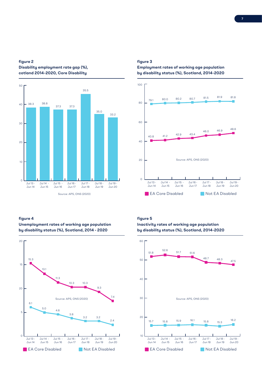# **figure 2 Disability employment rate gap (%), cotland 2014-2020, Core Disability**



# **figure 4**



# **Unemployment rates of working age population by disability status (%), Scotland, 2014 - 2020**

# **figure 3**

# **Employment rates of working age population by disability status (%), Scotland, 2014-2020**



# **figure 5**

**Inactivity rates of working age population by disability status (%), Scotland, 2014-2020**

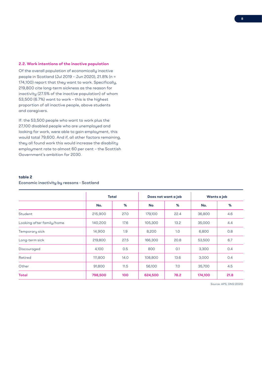## **2.2. Work intentions of the inactive population**

Of the overall population of economically inactive people in Scotland (Jul 2019 – Jun 2020), 21.8% (n = 174,100) report that they want to work. Specifically, 219,800 cite long-term sickness as the reason for inactivity (27.5% of the inactive population) of whom 53,500 (6.7%) want to work – this is the highest proportion of all inactive people, above students and caregivers.

If: the 53,500 people who want to work plus the 27,100 disabled people who are unemployed and looking for work, were able to gain employment, this would total 79,600. And if, all other factors remaining, they all found work this would increase the disability employment rate to almost 60 per cent – the Scottish Government's ambition for 2030.

# **table 2**

# Economic inactivity by reasons - Scotland

|                           | Total   |      | Does not want a job |      | Wants a job |      |
|---------------------------|---------|------|---------------------|------|-------------|------|
|                           | No.     | %    | No.                 | %    | No.         | %    |
| Student                   | 215,900 | 27.0 | 179,100             | 22.4 | 36,800      | 4.6  |
| Looking after family/home | 140,200 | 17.6 | 105,300             | 13.2 | 35,000      | 4.4  |
| Temporary sick            | 14,900  | 1.9  | 8,200               | 1.0  | 6,800       | 0.8  |
| Long-term sick            | 219,800 | 27.5 | 166,300             | 20.8 | 53,500      | 6.7  |
| Discouraged               | 4,100   | 0.5  | 800                 | 0.1  | 3,300       | 0.4  |
| Retired                   | 111,800 | 14.0 | 108,800             | 13.6 | 3,000       | 0.4  |
| Other                     | 91,800  | 11.5 | 56,100              | 7.0  | 35,700      | 4.5  |
| <b>Total</b>              | 798,500 | 100  | 624,500             | 78.2 | 174,100     | 21.8 |

Source: APS, ONS (2020)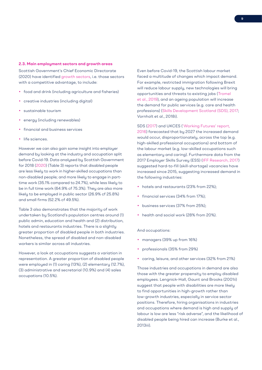#### **2.3. Main employment sectors and growth areas**

Scottish Government's Chief Economic Directorate (2020) have identified growth sectors, i.e. those sectors with a competitive advantage, to include:

- food and drink (including agriculture and fisheries)
- creative industries (including digital)
- sustainable tourism
- energy (including renewables)
- financial and business services
- life sciences.

However we can also gain some insight into employer demand by looking at the industry and occupation split before Covid-19. Data analysed by Scottish Government for 2018 (2020) (Table 3) reports that disabled people are less likely to work in higher-skilled occupations than non-disabled people; and more likely to engage in parttime work (35.1% compared to 24.7%), while less likely to be in full time work (64.9% cf 75.3%). They are also more likely to be employed in public sector (26.9% cf 25.8%) and small firms (52.2% cf 49.5%).

Table 3 also demonstrates that the majority of work undertaken by Scotland's population centres around (1) public admin, education and health and (2) distribution, hotels and restaurants industries. There is a slightly greater proportion of disabled people in both industries. Nonetheless, the spread of disabled and non-disabled workers is similar across all industries.

However, a look at occupations suggests a variation in representation. A greater proportion of disabled people were employed in (1) caring (13%), (2) elementary (12.7%), (3) administrative and secretarial (10.9%) and (4) sales occupations (10.5%).

Even before Covid-19, the Scottish labour market faced a multitude of changes which impact demand. For example, restricted immigration following Brexit will reduce labour supply, new technologies will bring opportunities and threats to existing jobs (Tromel et al., 2019), and an ageing population will increase the demand for public services (e.g. care and health professions) (Skills Development Scotland (SDS), 2017; Vornholt et al., 2018i).

SDS (2017) and UKCES ('Working Futures' report, 2016) forecasted that by 2027 the increased demand would occur, disproportionately, across the top (e.g. high-skilled professional occupations) and bottom of the labour market (e.g. low-skilled occupations such as elementary and caring). Furthermore data from the 2017 Employer Skills Survey (ESS) (IFF Research, 2017) suggested hard-to-fill (skill-shortage) vacancies have increased since 2015, suggesting increased demand in the following industries:

- hotels and restaurants (23% from 22%);
- financial services (34% from 17%);
- business services (37% from 25%);
- health and social work (28% from 20%).

#### And occupations:

- managers (39% up from 16%)
- professionals (35% from 29%)
- caring, leisure, and other services (32% from 21%)

Those industries and occupations in demand are also those with the greater propensity to employ disabled employees. Lengnick-Hall, Gaunt and Brooks (2001ii) suggest that people with disabilities are more likely to find opportunities in high-growth rather than low-growth industries, especially in service sector positions. Therefore, hiring organisations in industries and occupations where demand is high and supply of labour is low are less "risk adverse", and the likelihood of disabled people being hired can increase (Burke et al., 2013iii).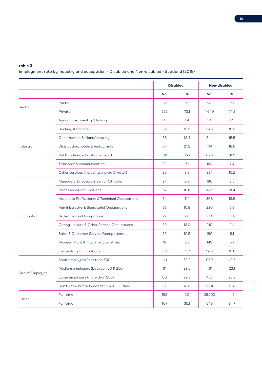# **table 3**

Employment rate by industry and occupation – Disabled and Non-disabled - Scotland (2018)

|                  |                                                |                | <b>Disabled</b> | Non-disabled |      |
|------------------|------------------------------------------------|----------------|-----------------|--------------|------|
|                  |                                                | No.            | %               | No.          | %    |
|                  | Public                                         | 82             | 26.9            | 572          | 25.8 |
| Sector           | Private                                        | 222            | 73.1            | 1,649        | 74.2 |
|                  | Agriculture, forestry & fishing                | $\overline{4}$ | 1.4             | 34           | 1.5  |
|                  | <b>Banking &amp; finance</b>                   | 39             | 12.9            | 346          | 15.6 |
|                  | <b>Construction &amp; Manufacturing</b>        | 38             | 12.4            | 344          | 15.5 |
| Industry         | Distribution, hotels & restaurants             | 64             | 21.2            | 414          | 18.6 |
|                  | Public admin, education & health               | 112            | 36.7            | 693          | 31.2 |
|                  | Transport & communication                      | 22             | 7.1             | 164          | 7.4  |
|                  | Other services (including energy & water)      | 25             | 8.3             | 227          | 10.2 |
|                  | Managers, Directors & Senior Officials         | 24             | 8.0             | 190          | 8.5  |
|                  | <b>Professional Occupations</b>                | 57             | 18.6            | 476          | 21.4 |
|                  | Associate Professional & Technical Occupations | 34             | 11.1            | 308          | 13.8 |
|                  | Administrative & Secretarial Occupations       | 33             | 10.9            | 220          | 9.9  |
| Occupation       | <b>Skilled Trades Occupations</b>              | 27             | 9.0             | 254          | 11.4 |
|                  | Caring, Leisure & Other Service Occupations    | 39             | 13.0            | 210          | 9.4  |
|                  | Sales & Customer Service Occupations           | 32             | 10.5            | 180          | 8.1  |
|                  | Process, Plant & Machine Operatives            | 19             | 6.3             | 149          | 6.7  |
|                  | <b>Elementary Occupations</b>                  | 38             | 12.7            | 240          | 10.8 |
|                  | Small employers (less than 50)                 | 141            | 52.2            | 989          | 49.5 |
|                  | Medium employers (between 50 & 250)            | 61             | 22.6            | 461          | 23.1 |
| Size of Employer | Large employers (more than 250)                | 60             | 22.3            | 463          | 23.2 |
|                  | Don't know but between 50 & 500Full-time       | 8              | 13.6            | 3,000        | 0.4  |
|                  | Full-time                                      | 198            | 7.0             | 35,700       | 4.5  |
| Other            | Full-time                                      | 107            | 35.1            | 549          | 24.7 |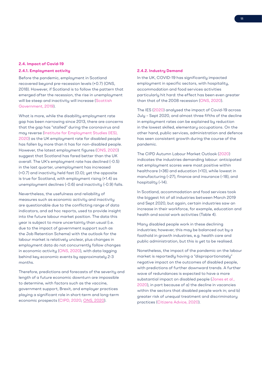#### **2.4. Impact of Covid-19**

# **2.4.1. Employment activity**

Before the pandemic, employment in Scotland recovered beyond pre-recession levels (+0.7) (ONS, 2018). However, if Scotland is to follow the pattern that emerged after the recession, the rise in unemployment will be steep and inactivity will increase (Scottish Government, 2019).

What is more, while the disability employment rate gap has been narrowing since 2013, there are concerns that the gap has "stalled" during the coronavirus and may reverse (Institute for Employment Studies (IES), 2020) as the UK employment rate for disabled people has fallen by more than it has for non-disabled people. However, the latest employment figures (ONS, 2020) suggest that Scotland has fared better than the UK overall. The UK's employment rate has declined (-0.5) in the last quarter, unemployment has increased (+0.7) and inactivity held fast (0.0); yet the opposite is true for Scotland, with employment rising (+1.4) as unemployment declines (-0.6) and inactivity (-0.9) falls.

Nevertheless, the usefulness and reliability of measures such as economic activity and inactivity are questionable due to the conflicting range of data indicators, and ad hoc reports, used to provide insight into the future labour market position. The data this year is subject to more uncertainty than usual (i.e. due to the impact of government support such as the Job Retention Scheme) with the outlook for the labour market is relatively unclear, plus changes in employment data do not concurrently follow changes in economic activity (ONS, 2020), with data lagging behind key economic events by approximately 2-3 months.

Therefore, predictions and forecasts of the severity and length of a future economic downturn are impossible to determine, with factors such as the vaccine, government support, Brexit, and employer practices playing a significant role in short-term and long-term economic prospects (CIPD, 2020; ONS, 2020).

# **2.4.2. Industry Demand**

In the UK, COVID-19 has significantly impacted employment in specific sectors, with hospitality, accommodation and food services activities particularly hit hard: the effect has been even greater than that of the 2008 recession (ONS, 2020).

The IES (2020) analysed the impact of Covid-19 across July – Sept 2020, and almost three fifths of the decline in employment rates can be explained by reduction in the lowest skilled, elementary occupations. On the other hand, public services, administration and defence has seen consistent growth during the course of the pandemic.

The CIPD Autumn Labour Market Outlook (2020) indicates the industries demanding labour: anticipated net employment scores were most positive within healthcare (+36) and education (+10), while lowest in manufacturing (–27), finance and insurance (–18), and hospitality (–14).

In Scotland, accommodation and food services took the biggest hit of all industries between March 2019 and Sept 2020, but again, certain industries saw an increase in their workforce, for example, education and health and social work activities (Table 4).

Many disabled people work in these declining industries; however, this may be balanced out by a foothold in growth industries, e.g. health care and public administration, but this is yet to be realised.

Nonetheless, the impact of the pandemic on the labour market is reportedly having a "disproportionately" negative impact on the outcomes of disabled people, with predictions of further downward trends. A further wave of redundances is expected to have a more substantial impact on disabled people (Jones et al., 2020), in part because of a) the decline in vacancies within the sectors that disabled people work in; and b) greater risk of unequal treatment and discriminatory practices (Citizens Advice, 2020).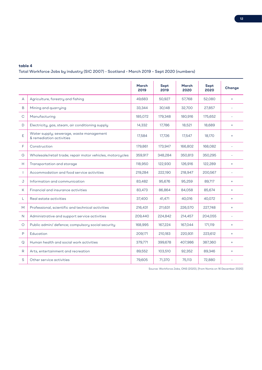# **table 4**

# Total Workforce Jobs by industry (SIC 2007) - Scotland - March 2019 – Sept 2020 (numbers)

|                |                                                                      | <b>March</b><br>2019 | Sept<br>2019 | March<br>2020 | Sept<br>2020 | Change         |
|----------------|----------------------------------------------------------------------|----------------------|--------------|---------------|--------------|----------------|
| A              | Agriculture, forestry and fishing                                    | 49,683               | 50,927       | 57,768        | 52,080       | $+$            |
| B              | Mining and quarrying                                                 | 33,344               | 30,148       | 32,700        | 27,857       | Ξ              |
| С              | Manufacturing                                                        | 185,072              | 179,348      | 180,916       | 175,652      |                |
| D              | Electricity, gas, steam, air conditioning supply                     | 14,332               | 17,786       | 18,521        | 18,689       | $+$            |
| E              | Water supply; sewerage, waste management<br>& remediation activities | 17,584               | 17,726       | 17,547        | 18,170       | $+$            |
| F              | Construction                                                         | 179,861              | 173,947      | 166,802       | 168,082      | $\overline{a}$ |
| G              | Wholesale/retail trade; repair motor vehicles, motorcycles           | 359,917              | 348,284      | 350,813       | 350,295      |                |
| Н              | Transportation and storage                                           | 118,950              | 122,930      | 126,916       | 122,289      | $+$            |
| $\overline{1}$ | Accommodation and food service activities                            | 219,284              | 222,190      | 218,947       | 200,567      |                |
| J              | Information and communication                                        | 83,482               | 95,676       | 95,259        | 89,717       | $+$            |
| К              | Financial and insurance activities                                   | 83,473               | 86,864       | 84,058        | 85,674       | $+$            |
| L              | Real estate activities                                               | 37,400               | 41,471       | 40,016        | 40,072       | $+$            |
| M              | Professional, scientific and technical activities                    | 216,431              | 211,631      | 226,570       | 227,748      | $+$            |
| N              | Administrative and support service activities                        | 209,440              | 224,842      | 214,457       | 204,055      | ÷.             |
| $\circ$        | Public admin/ defence; compulsory social security                    | 168,995              | 167,224      | 167,044       | 171,119      | $+$            |
| P              | Education                                                            | 209,171              | 210,183      | 220,931       | 223,612      | $+$            |
| Q              | Human health and social work activities                              | 379,771              | 399,678      | 407,986       | 387,360      | $+$            |
| R              | Arts, entertainment and recreation                                   | 89,552               | 103,510      | 92,352        | 89,346       | $=$            |
| S              | Other service activities                                             | 79,605               | 71,370       | 75,113        | 72,880       |                |

Source: Workforce Jobs, ONS (2020), [from Nomis on 16 December 2020]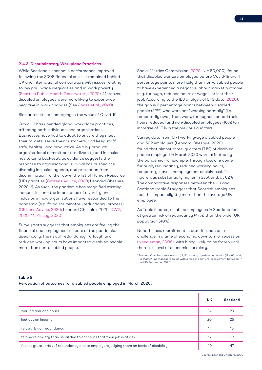#### **2.4.3. Discriminatory Workplace Practices**

While Scotland's economic performance improved following the 2008 financial crisis, it remained behind UK and international comparators with issues relating to low pay, wage inequalities and in-work poverty (Scottish Public Health Observatory, 2020). Moreover, disabled employees were more likely to experience negative in-work changes (See Jones et al., 2020).

Similar results are emerging in the wake of Covid-19.

Covid-19 has upended global workplace practices, affecting both individuals and organisations. Businesses have had to adapt to ensure they meet their targets, serve their customers, and keep staff safe, healthy, and productive. As a by-product, organisational commitment to diversity and inclusion has taken a backseat, as evidence suggests the response to organisational survival has pushed the diversity inclusion agenda, and protection from discrimination, further down the list of Human Resource (HR) priorities (Citizens Advice, 2020; Leonard Cheshire,  $2020^{\omega_3}$ ). As such, the pandemic has magnified existing inequalities and the importance of diversity and inclusion in how organisations have responded to the pandemic (e.g. fair/discriminatory redundancy process) (Citizens Advice, 2020; Leonard Cheshire, 2020; DWP, 2020; McKinsey, 2020).

Survey data suggests that employees are feeling the financial and employment effects of the pandemic. Specifically, the risk of redundancy, furlough and reduced working hours have impacted disabled people more than non-disabled people.

Social Metrics Commission (2020, N = 80,000), found that disabled workers employed before Covid-19 are 4 percentage points more likely than non-disabled people to have experienced a negative labour market outcome (e.g. furlough, reduced hours or wages, or lost their job). According to the IES analysis of LFS data (2020), the gap is 6 percentage points between disabled people (22%) who were not "working normally" (i.e. temporarily away from work, furloughed, or had their hours reduced) and non-disabled employees (16%) (an increase of 10% in the previous quarter).

Survey data from 1,171 working-age disabled people and 502 employers (Leonard Cheshire, 2020) found that almost three-quarters (71%) of disabled people employed in March 2020 were affected by the pandemic (for example, through loss of income, furlough, redundancy, reduced working hours, temporary leave, unemployment or sickness). This figure was substantially higher in Scotland, at 82%. The comparative responses between the UK and Scotland (table 5) suggest that Scottish employees feel the impact slightly more than the average UK employee.

As Table 5 notes, disabled employees in Scotland feel at greater risk of redundancy (47%) than the wider UK population (40%).

Nonetheless, recruitment in practice, can be a challenge in a time of economic downturn or recession (Needleman, 2008); with hiring likely to be frozen until there is a level of economic certainty.

## **table 5**

Perception of outcomes for disabled people employed in March 2020:

|                                                                                         | <b>UK</b> | <b>Scotland</b> |
|-----------------------------------------------------------------------------------------|-----------|-----------------|
| worked reduced hours                                                                    | 24        | 29              |
| lost out on income                                                                      | 20        | 25              |
| felt at risk of redundancy                                                              | 11        | 15              |
| felt more anxiety than usual due to concerns that their job is at risk                  | 57        | 67              |
| feel at greater risk of redundancy due to employers judging them on basis of disability | 40        | -47             |

<sup>3</sup> Savanta ComRes interviewed: (1) 1,171 working age disabled adults (18 – 65) and; (2) 502 UK line managers online with a responsibility for recruitment between 17 and 30 September 2020.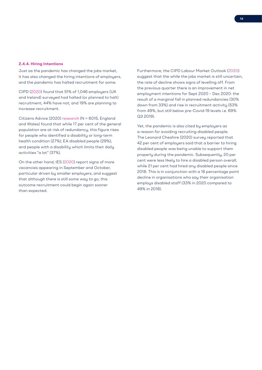#### **2.4.4. Hiring Intentions**

Just as the pandemic has changed the jobs market, it has also changed the hiring intentions of employers, and the pandemic has halted recruitment for some.

CIPD (2020) found that 51% of 1,046 employers (UK and Ireland) surveyed had halted (or planned to halt) recruitment; 44% have not; and 19% are planning to increase recruitment.

Citizens Advice (2020) research (N = 6015, England and Wales) found that while 17 per cent of the general population are at risk of redundancy, this figure rises for people who identified a disability or long-term health condition (27%); EA disabled people (29%); and people with a disability which limits their daily activities "a lot" (37%).

On the other hand, IES (2020) report signs of more vacancies appearing in September and October, particular driven by smaller employers, and suggest that although there is still some way to go, this outcome recruitment could begin again sooner than expected.

Furthermore, the CIPD Labour Market Outlook (2020) suggest that the while the jobs market is still uncertain, the rate of decline shows signs of levelling off. From the previous quarter there is an improvement in net employment intentions for Sept 2020 – Dec 2020: the result of a marginal fall in planned redundancies (30% down from 33%) and rise in recruitment activity (53% from 49%, but still below pre-Covid-19 levels i.e. 69% Q3 2019).

Yet, the pandemic is also cited by employers as a reason for avoiding recruiting disabled people. The Leonard Cheshire (2020) survey reported that 42 per cent of employers said that a barrier to hiring disabled people was being unable to support them properly during the pandemic. Subsequently, 20 per cent were less likely to hire a disabled person overall, while 21 per cent had hired any disabled people since 2018. This is in conjunction with a 16 percentage point decline in organisations who say their organisation employs disabled staff (33% in 2020 compared to 49% in 2018).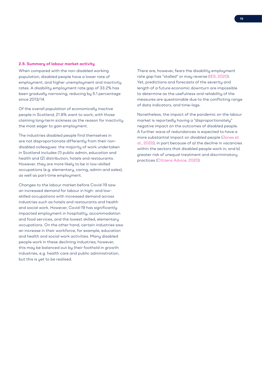#### **2.5. Summary of labour market activity**

When compared with the non-disabled working population, disabled people have a lower rate of employment, and higher unemployment and inactivity rates. A disability employment rate gap of 33.2% has been gradually narrowing, reducing by 5.1 percentage since 2013/14.

Of the overall population of economically inactive people in Scotland, 21.8% want to work, with those claiming long-term sickness as the reason for inactivity the most eager to gain employment.

The industries disabled people find themselves in are not disproportionate differently from their nondisabled colleagues: the majority of work undertaken in Scotland includes (1) public admin, education and health and (2) distribution, hotels and restaurants. However, they are more likely to be in low-skilled occupations (e.g. elementary, caring, admin and sales), as well as part-time employment.

Changes to the labour market before Covid-19 saw an increased demand for labour in high- and lowskilled occupations with increased demand across industries such as hotels and restaurants and health and social work. However, Covid-19 has significantly impacted employment in hospitality, accommodation and food services, and the lowest skilled, elementary occupations. On the other hand, certain industries saw an increase in their workforce, for example, education and health and social work activities. Many disabled people work in these declining industries; however, this may be balanced out by their foothold in growth industries, e.g. health care and public administration, but this is yet to be realised.

There are, however, fears the disability employment rate gap has "stalled" or may reverse (IES, 2020). Yet, predictions and forecasts of the severity and length of a future economic downturn are impossible to determine as the usefulness and reliability of the measures are questionable due to the conflicting range of data indicators, and time-lags.

Nonetheless, the impact of the pandemic on the labour market is reportedly having a "disproportionately" negative impact on the outcomes of disabled people. A further wave of redundances is expected to have a more substantial impact on disabled people (Jones et al., 2020), in part because of a) the decline in vacancies within the sectors that disabled people work in; and b) greater risk of unequal treatment and discriminatory practices (Citizens Advice, 2020).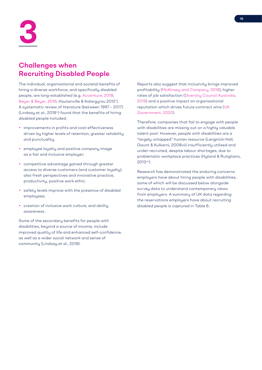

# **Challenges when Recruiting Disabled People**

The individual, organisational and societal benefits of hiring a diverse workforce, and specifically disabled people, are long-established (e.g. Accenture, 2018; Beyer & Beyer, 2016; Houtenville & Kalargyrou 2012v ). A systematic review of literature (between 1997 – 2017) (Lindsay et al., 2018<sup>vi</sup>) found that the benefits of hiring disabled people included:

- improvements in profits and cost-effectiveness driven by higher levels of retention, greater reliability and punctuality;
- employee loyalty and positive company image as a fair and inclusive employer;
- competitive advantage gained through greater access to diverse customers (and customer loyalty), also fresh perspectives and innovative practice, productivity, positive work ethic;
- safety levels improve with the presence of disabled employees;
- creation of inclusive work culture, and ability awareness.

Some of the secondary benefits for people with disabilities, beyond a source of income, include improved quality of life and enhanced self-confidence, as well as a wider social network and sense of community (Lindsay et al., 2018).

Reports also suggest that inclusivity brings improved profitability (McKinsey and Company, 2018), higher rates of job satisfaction (Diversity Council Australia, 2019) and a positive impact on organisational reputation which drives future contract wins (UK Government, 2020).

Therefore, companies that fail to engage with people with disabilities are missing out on a highly valuable talent pool. However, people with disabilities are a "largely untapped" human resource (Lengnick-Hall, Gaunt & Kulkarni, 2008vii) insufficiently utilised and under-recruited, despite labour shortages, due to problematic workplace practices (Hyland & Rutigliano, 2013viii).

Research has demonstrated the enduring concerns employers have about hiring people with disabilities, some of which will be discussed below alongside survey data to understand contemporary views from employers. A summary of UK data regarding the reservations employers have about recruiting disabled people is captured in Table 6.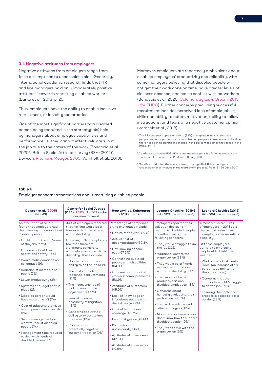#### **3.1. Negative attitudes from employers**

Negative attitudes from employers range from false assumptions to unconscious bias. Generally, international academic research finds that HR and line managers hold only "moderately positive attitudes" towards recruiting disabled workers (Burke et al., 2013, p. 25).

Thus, employers have the ability to enable inclusive recruitment, or inhibit good practice.

One of the most significant barriers to a disabled person being recruited is the stereotype(s) held by managers about employee capabilities and performance i.e. they cannot effectively carry out the job due to the nature of the work (Bonaccio et al. 2020<sup>ix</sup>; British Social Attitude survey (BSA) (2017)<sup>4</sup>; Dewson, Ritchie & Meager, 2005; Vornholt et al., 2018). Moreover, employers are reportedly ambivalent about disabled employees' productivity and reliability, with some managers believing that disabled people will not get their work done on time, have greater levels of sickness absence, and cause conflict with co-workers (Bonaccio et al. 2020; Coleman, Sykes & Groom, 2013 – for EHRC). Further concerns precluding successful recruitment includes perceived lack of employability skills and ability to adapt, motivation, ability to follow instructions, and fears of a negative customer opinion (Vornholt et al., 2018).

- 4. The BSA suggest approx. one-third (32%) of employers believe disabled people are not as productive as non-disabled people (at least some of the time): there has been no significant change in this percentage since first asked in the BSA in 2009.
- <sup>5</sup> ComRes interviewed 503 UK line managers responsible for or involved in the recruitment process, from 29 June 19 July 2018.
- <sup>6</sup> ComRes conducted the same research among 504 UK line managers responsible for or involved in the recruitment process, from 15 – 29 June 2017

## **table 6**

# Employer concerns/reservations about recruiting disabled people

| Dewson et al. (2005)<br>$(N = 43)$                                                                                                                                                                                                                                                                                                                                                                                                                                                                                                                                                                                                                                    | <b>Centre for Social Justice</b><br>$(CSJ) (2017) (N = 502$ senior<br>decision makers)                                                                                                                                                                                                                                                                                                                                                                                                                                                                                                                                                                   | <b>Houtenville &amp; Kalargyrou</b><br>$(2012)$ (n = 320)                                                                                                                                                                                                                                                                                                                                                                                                                                                                                                                                                                   | Leonard Cheshire (2019*)<br>$(N = 503$ line managers <sup>5</sup> )                                                                                                                                                                                                                                                                                                                                                                                                                                                                                                                                                                                                      | <b>Leonard Cheshire (2019)</b><br>$(N = 504$ line managers <sup>6</sup> )                                                                                                                                                                                                                                                                                                                                                                                                           |
|-----------------------------------------------------------------------------------------------------------------------------------------------------------------------------------------------------------------------------------------------------------------------------------------------------------------------------------------------------------------------------------------------------------------------------------------------------------------------------------------------------------------------------------------------------------------------------------------------------------------------------------------------------------------------|----------------------------------------------------------------------------------------------------------------------------------------------------------------------------------------------------------------------------------------------------------------------------------------------------------------------------------------------------------------------------------------------------------------------------------------------------------------------------------------------------------------------------------------------------------------------------------------------------------------------------------------------------------|-----------------------------------------------------------------------------------------------------------------------------------------------------------------------------------------------------------------------------------------------------------------------------------------------------------------------------------------------------------------------------------------------------------------------------------------------------------------------------------------------------------------------------------------------------------------------------------------------------------------------------|--------------------------------------------------------------------------------------------------------------------------------------------------------------------------------------------------------------------------------------------------------------------------------------------------------------------------------------------------------------------------------------------------------------------------------------------------------------------------------------------------------------------------------------------------------------------------------------------------------------------------------------------------------------------------|-------------------------------------------------------------------------------------------------------------------------------------------------------------------------------------------------------------------------------------------------------------------------------------------------------------------------------------------------------------------------------------------------------------------------------------------------------------------------------------|
| An evaluation of NDdP.<br>found that employers had<br>the following concerns about<br>disabled people:<br>• Could not do the job/some<br>of the jobs (65%)<br>• Concerns about their<br>health and safety (15%)<br>• Would make demands on<br>colleagues (9%)<br>• Reaction of members of<br>public (3%)<br>• Lower productivity (3%)<br>· Systems or budgets not in<br>place (2%)<br>• Disabled person would<br>have more time off (1%)<br>• Cost of adapting premises<br>or equipment too expensive<br>(1%)<br>· Senior management do not<br>want to recruit disabled<br>people (1%)<br>• Management time required<br>to deal with needs of<br>disabled person (1%) | 34% of employers reported<br>that nothing would be a<br>barrier to hiring a person<br>with a disability.<br>However, 63% of employers<br>feel that there are<br>significant barriers to<br>employing someone with a<br>disability. These include:<br>• Concerns about their<br>ability to do the job (34%)<br>• The costs of making<br>reasonable adjustments<br>(31%)<br>• The inconvenience of<br>making reasonable<br>adjustments (19%)<br>• Fear of increased<br>possibility of litigation<br>(13%)<br>• Concerns about their<br>ability to integrate into<br>the team (11%)<br>• Concerns about a<br>potentially negative<br>customer reaction (9%) | Percentage of companies<br>citing challenges include:<br>• Nature of the work (77%)<br>• Actual cost of<br>accommodation (69.3%<br>• Not knowing accom.<br>cost (67.6%)<br>• Cannot find qualified<br>people with disabilities<br>(64.9%)<br>• Concern about cost of<br>workers' comp. premiums<br>(50.9%)<br>• Attitudes of customers<br>(45.9%)<br>• Lack of knowledge or<br>info. about people with<br>disabilities (45.7%)<br>• Cost of health care<br>coverage (43.7%)<br>• Fear of litigation (41.4%)<br>• Discomfort or<br>unfamiliarity (36%)<br>• Attitudes of co-workers<br>(32.3%)<br>• Attitudes of supervisors | Employers reported their<br>selection decisions in<br>relation to disabled people<br>are influenced by the<br>following concerns:<br>. They would struggle to do<br>the job (33%)<br>• Additional cost to the<br>organisation (22%)<br>. They would be off work<br>more often than those<br>without a disability (19%)<br>• They may not be as<br>productive as non-<br>disabled employees (18%)<br>• Concerns about<br>honestly evaluating their<br>performance (15%)<br>. They will be mistreated by<br>other employees (11%)<br>• Managers and supervisors<br>don't know how to support<br>disabled people (10%)<br>. They won't fit in with the<br>organisation (6%) | Almost a quarter (24%)<br>of employers in 2018 said<br>they would be less likely<br>to employ someone with a<br>disability.<br>Of those employers,<br>barriers to employing<br>people with disabilities<br>included:<br>• Workplace adjustments<br>(66%) (an increase of six<br>percentage points from<br>the 2017 survey)<br>• Concerns that the<br>candidate would "struggle<br>to do the job" (60%)<br>• Ensuring the application<br>process is accessible is a<br>barrier (38%) |
|                                                                                                                                                                                                                                                                                                                                                                                                                                                                                                                                                                                                                                                                       |                                                                                                                                                                                                                                                                                                                                                                                                                                                                                                                                                                                                                                                          | (19.6%)                                                                                                                                                                                                                                                                                                                                                                                                                                                                                                                                                                                                                     |                                                                                                                                                                                                                                                                                                                                                                                                                                                                                                                                                                                                                                                                          |                                                                                                                                                                                                                                                                                                                                                                                                                                                                                     |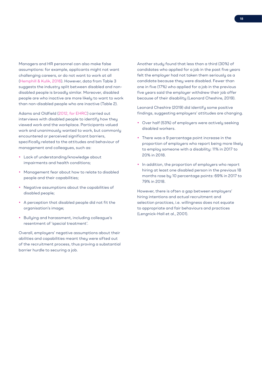Managers and HR personnel can also make false assumptions: for example, applicants might not want challenging careers, or do not want to work at all (Hemphill & Kulik, 2016). However, data from Table 3 suggests the industry split between disabled and nondisabled people is broadly similar. Moreover, disabled people are who inactive are more likely to want to work than non-disabled people who are inactive (Table 2).

Adams and Oldfield (2012, for EHRC) carried out interviews with disabled people to identify how they viewed work and the workplace. Participants valued work and unanimously wanted to work, but commonly encountered or perceived significant barriers, specifically related to the attitudes and behaviour of management and colleagues, such as:

- Lack of understanding/knowledge about impairments and health conditions;
- Management fear about how to relate to disabled people and their capabilities;
- Negative assumptions about the capabilities of disabled people;
- A perception that disabled people did not fit the organisation's image;
- Bullying and harassment, including colleague's resentment of 'special treatment'.

Overall, employers' negative assumptions about their abilities and capabilities meant they were sifted out of the recruitment process, thus proving a substantial barrier hurdle to securing a job.

Another study found that less than a third (30%) of candidates who applied for a job in the past five years felt the employer had not taken them seriously as a candidate because they were disabled. Fewer than one in five (17%) who applied for a job in the previous five years said the employer withdrew their job offer because of their disability (Leonard Cheshire, 2019).

Leonard Cheshire (2019) did identify some positive findings, suggesting employers' attitudes are changing.

- Over half (53%) of employers were actively seeking disabled workers.
- There was a 9 percentage point increase in the proportion of employers who report being more likely to employ someone with a disability: 11% in 2017 to 20% in 2018.
- In addition, the proportion of employers who report hiring at least one disabled person in the previous 18 months rose by 10 percentage points: 69% in 2017 to 79% in 2018.

However, there is often a gap between employers' hiring intentions and actual recruitment and selection practices, i.e. willingness does not equate to appropriate and fair behaviours and practices (Lengnick-Hall et al., 2001).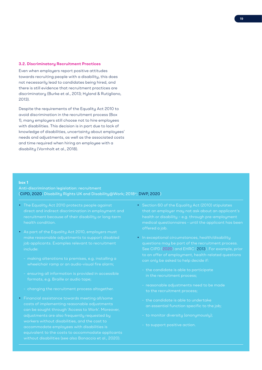#### **3.2. Discriminatory Recruitment Practices**

Even when employers report positive attitudes towards recruiting people with a disability, this does not necessarily lead to candidates being hired, and there is still evidence that recruitment practices are discriminatory (Burke et al., 2013; Hyland & Rutigliano, 2013).

Despite the requirements of the Equality Act 2010 to avoid discrimination in the recruitment process (Box 1), many employers still choose not to hire employees with disabilities. This decision is in part due to lack of knowledge of disabilities, uncertainty about employees' needs and adjustments, as well as the associated costs and time required when hiring an employee with a disability (Vornholt et al., 2018).

#### **box 1**

# Anti-discrimination legislation: recruitment (CIPD, 2020; Disability Rights UK and Disability@Work; 2018<sup>xi</sup>; DWP, 2020)

- The Equality Act 2010 protects people against direct and indirect discrimination in employment and
- As part of the Equality Act 2010, employers must include:
	- making alterations to premises, e.g. installing a
	- ensuring all information is provided in accessible
	-
- Financial assistance towards meeting all/some accommodate employees with disabilities is
- Section 60 of the Equality Act (2010) stipulates that an employer may not ask about an applicant's offered a job.
- In exceptional circumstances, health/disability questions may be part of the recruitment process. See CIPD (2020) and EHRC (2013). For example, prior
	-
	-
	- the candidate is able to undertake
	-
	-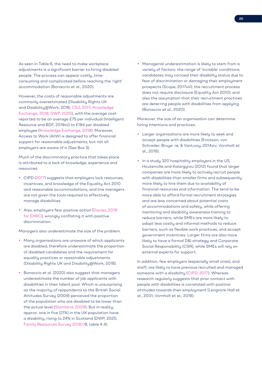As seen in Table 6, the need to make workplace adjustments is a significant barrier to hiring disabled people. The process can appear costly, timeconsuming and complicated before reaching the 'right' accommodation (Bonaccio et al., 2020).

However, the costs of reasonable adjustments are commonly overestimated (Disability Rights UK and Disability@Work, 2018; CSJ, 2017; Knowledge Exchange, 2018; DWP, 2020), with the average cost reported to be on average £75 per individual (Intelligent Resource and BDF, 2019xii) to £184 per disabled employee (Knowledge Exchange, 2018). Moreover, Access to Work (AtW) is designed to offer financial support for reasonable adjustments, but not all employers are aware of it (See Box 3).

Much of the discriminatory practice that takes place is attributed to a lack of knowledge, experience and resources.

- CIPD (2017) suggests that employers lack resources, incentives, and knowledge of the Equality Act 2010 and reasonable accommodations, and line managers are not given the tools required to effectively manage disabilities.
- Also, employers fear positive action (Davies, 2019 for EHRC), wrongly conflating it with positive discrimination.

Managers also underestimate the size of the problem.

- Many organisations are unaware of which applicants are disabled, therefore underestimate the proportion of disabled candidates and the requirement for equality practices or reasonable adjustments (Disability Rights UK and Disability@Work, 2018).
- Bonaccio et al. (2020) also suggest that managers underestimate the number of job applicants with disabilities in their talent pool. Which is unsurprising as the majority of respondents to the British Social Attitudes Survey (2009) perceived the proportion of the population who are disabled to be lower than the actual level (Staniland, 2009). But in reality, approx. one in five (21%) in the UK population have a disability, rising to 24% in Scotland (DWP, 2020, Family Resources Survey 2018/19, table 4.4).

• Managerial underestimation is likely to stem from a variety of factors: the range of 'invisible' conditions; candidates may conceal their disability status due to fear of discrimination or damaging their employment prospects (Scope, 2017xiii); the recruitment process does not require disclosure (Equality Act 2010); and also the assumption that their recruitment practices are deterring people with disabilities from applying (Bonaccio et al., 2020).

Moreover, the size of an organisation can determine hiring intentions and practices.

- Larger organisations are more likely to seek and accept people with disabilities (Erickson, von Schrader, Bruye re, & VanLooy, 2014xiv; Vornholt et al., 2018).
- In a study 320 hospitality employers in the US, Houtenville and Kalargurou (2012) found that larger companies are more likely to actively recruit people with disabilities than smaller firms and subsequently more likely to hire them due to availability of financial resources and information. The tend to be more able to afford formal recruitment strategies and are less concerned about potential costs of accommodations and safety, while offering mentoring and disability awareness training to reduce barriers; while SMEs are more likely to adopt less costly and informal methods to reduce barriers, such as flexible work practices, and accept government incentives. Larger firms are also more likely to have a formal D&I strategy and Corporate Social Responsibility (CSR), while SMEs will rely on external experts for support.

In addition, few employers (especially small ones), and staff, are likely to have previous recruited and managed someone with a disability (CIPD, 2017). Whereas research regularly suggests that prior contact with people with disabilities is correlated with positive attitudes towards their employment (Lengnick-Hall et al., 2001; Vornholt et al., 2018).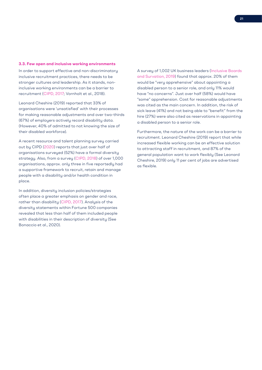#### **3.3. Few open and inclusive working environments**

In order to support effective and non-discriminatory inclusive recruitment practices, there needs to be stronger cultures and leadership. As it stands, noninclusive working environments can be a barrier to recruitment (CIPD, 2017; Vornholt et al., 2018).

Leonard Cheshire (2019) reported that 33% of organisations were 'unsatisfied' with their processes for making reasonable adjustments and over two-thirds (67%) of employers actively record disability data. (However, 40% of admitted to not knowing the size of their disabled workforce).

A recent resource and talent planning survey carried out by CIPD (2020) reports that just over half of organisations surveyed (52%) have a formal diversity strategy. Also, from a survey (CIPD, 2018) of over 1,000 organisations, approx. only three in five reportedly had a supportive framework to recruit, retain and manage people with a disability and/or health condition in place.

In addition, diversity inclusion policies/strategies often place a greater emphasis on gender and race, rather than disability (CIPD, 2017). Analysis of the diversity statements within Fortune 500 companies revealed that less than half of them included people with disabilities in their description of diversity (See Bonaccio et al., 2020).

A survey of 1,002 UK business leaders (Inclusive Boards and Survation, 2019) found that approx. 20% of them would be "very apprehensive" about appointing a disabled person to a senior role, and only 11% would have "no concerns". Just over half (58%) would have "some" apprehension. Cost for reasonable adjustments was cited as the main concern. In addition, the risk of sick leave (41%) and not being able to "benefit" from the hire (27%) were also cited as reservations in appointing a disabled person to a senior role.

Furthermore, the nature of the work can be a barrier to recruitment. Leonard Cheshire (2019) report that while increased flexible working can be an effective solution to attracting staff in recruitment, and 87% of the general population want to work flexibly (See Leonard Cheshire, 2019) only 11 per cent of jobs are advertised as flexible.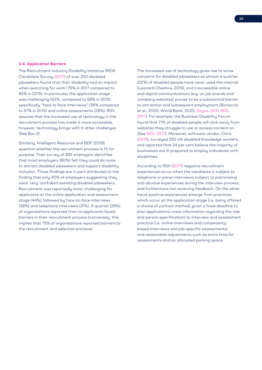#### **3.4. Application Barriers**

The Recruitment Industry Disability Initiative (RIDI) Candidate Survey (2017) of over 200 disabled jobseekers found that their disability had an impact when searching for work (75% in 2017 compared to 85% in 2015). In particular, the application stage was challenging (53%, compared to 56% in 2015), specifically "face to face interviews" (36% compared to 57% in 2015) and online assessments (28%). RIDI assume that the increased use of technology in the recruitment process has made it more accessible, however, technology brings with it other challenges (See Box 2).

Similarly, Intelligent Resource and BDF (2019) question whether the recruitment process is fit for purpose. Their survey of 392 employers identified that most employers (80%) felt they could do more to attract disabled jobseekers and support disability inclusion. These findings are in part attributed to the finding that only 40% of employers suggesting they were 'very' confident assisting disabled jobseekers. Recruitment was reportedly most challenging for applicants at the online application and assessment stage (44%), followed by face-to-face interviews (38%) and telephone interviews (31%). A quarter (25%) of organisations reported that no applicants faced barriers in their recruitment process (conversely, this implies that 75% of organisations reported barriers to the recruitment and selection process).

The increased use of technology gives rise to some concerns for disabled jobseekers as almost a quarter (22%) of disabled people have never used the internet (Leonard Cheshire, 2019), and inaccessible online and digital communications (e.g. on job boards and company websites) proves to be a substantial barrier to attraction and subsequent employment (Bonaccio et al., 2020; World Bank, 2020; Sayce, 2011; RIDI, 2017). For example, the Business Disability Forum found that 71% of disabled people will click away from websites they struggle to use or access content on (See RIDI, 2017). Moreover, software vendor, Citrix (2019), surveyed 250 UK disabled knowledge workers, and reported that 24 per cent believe the majority of businesses are ill-prepared to employ individuals with disabilities.

According to RIDI (2017) negative recruitment experiences occur when the candidate is subject to telephone or panel interviews; subject to patronising and abusive experiences during the interview process, and furthermore not receiving feedback. On the other hand, positive experiences emerge from practices which occur at the application stage (i.e. being offered a choice of contact method, given a fixed deadline to plan applications; more information regarding the role and person specification) to interview and assessment practice (i.e. online interviews and competency based interviews and job-specific assessments) and reasonable adjustments such as extra time for assessments and an allocated parking space.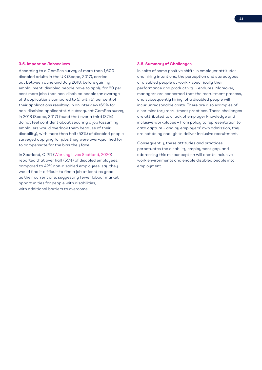#### **3.5. Impact on Jobseekers**

According to a ComRes survey of more than 1,600 disabled adults in the UK (Scope, 2017), carried out between June and July 2018, before gaining employment, disabled people have to apply for 60 per cent more jobs than non-disabled people (an average of 8 applications compared to 5) with 51 per cent of their applications resulting in an interview (69% for non-disabled applicants). A subsequent ComRes survey in 2018 (Scope, 2017) found that over a third (37%) do not feel confident about securing a job (assuming employers would overlook them because of their disability), with more than half (53%) of disabled people surveued applying for jobs they were over-qualified for to compensate for the bias they face.

In Scotland, CIPD (Working Lives Scotland, 2020) reported that over half (55%) of disabled employees, compared to 42% non-disabled employees, say they would find it difficult to find a job at least as good as their current one: suggesting fewer labour market opportunities for people with disabilities, with additional barriers to overcome.

## **3.6. Summary of Challenges**

In spite of some positive shifts in employer attitudes and hiring intentions, the perception and stereotypes of disabled people at work – specifically their performance and productivity - endures. Moreover, managers are concerned that the recruitment process, and subsequently hiring, of a disabled people will incur unreasonable costs. There are also examples of discriminatory recruitment practices. These challenges are attributed to a lack of employer knowledge and inclusive workplaces – from policy to representation to data capture – and by employers' own admission, they are not doing enough to deliver inclusive recruitment.

Consequently, these attitudes and practices perpetuates the disability employment gap, and addressing this misconception will create inclusive work environments and enable disabled people into employment.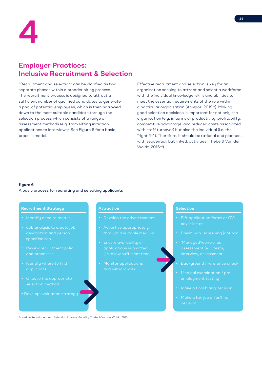

# **Employer Practices: Inclusive Recruitment & Selection**

"Recruitment and selection" can be clarified as two separate phases within a broader hiring process. The recruitment process is designed to attract a sufficient number of qualified candidates to generate a pool of potential employees, which is then narrowed down to the most suitable candidate through the selection process which consists of a range of assessment methods (e.g. from sifting initiation applications to interviews). See Figure 6 for a basic process model.

Effective recruitment and selection is key for an organisation seeking to attract and select a workforce with the individual knowledge, skills and abilities to meet the essential requirements of the role within a particular organisation (Acikgoz, 2019xv). Making good selection decisions is important for not only the organisation (e.g. in terms of productivity, profitability, competitive advantage, and reduced costs associated with staff turnover) but also the individual (i.e. the "right fit"). Therefore, it should be rational and planned, with sequential, but linked, activities (Thebe & Van der Waldt, 2015xvi).

# **figure 6**

# A basic process for recruiting and selecting applicants

## **Recruitment Strategy**

- 
- specification
- Review recruitment policy and processes
- applicants
- Choose the appropriate
- 

## **Attraction**

- 
- 
- applications submitted
- Monitor applications and withdrawals

# **Selection**

- 
- 
- assessment (e.g. tests,
- 
- Medical examination / pre
- 
- decision

Based on Recruitment and Selection Process Model by Thebe & Van der Waldt (2015)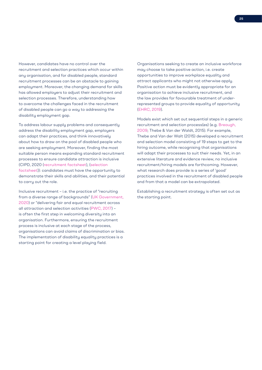However, candidates have no control over the recruitment and selection practices which occur within any organisation, and for disabled people, standard recruitment processes can be an obstacle to gaining employment. Moreover, the changing demand for skills has allowed employers to adjust their recruitment and selection processes. Therefore, understanding how to overcome the challenges faced in the recruitment of disabled people can go a way to addressing the disability employment gap.

To address labour supply problems and consequently address the disability employment gap, employers can adapt their practices, and think innovatively about how to draw on the pool of disabled people who are seeking employment. Moreover, finding the most suitable person means expanding standard recruitment processes to ensure candidate attraction is inclusive (CIPD, 2020 (recruitment factsheet), (selection factsheet)): candidates must have the opportunity to demonstrate their skills and abilities, and their potential to carry out the role.

Inclusive recruitment – i.e. the practice of "recruiting from a diverse range of backgrounds" (UK Government, 2020) or "delivering fair and equal recruitment across all attraction and selection activities (PWC, 2017) – is often the first step in welcoming diversity into an organisation. Furthermore, ensuring the recruitment process is inclusive at each stage of the process, organisations can avoid claims of discrimination or bias. The implementation of disability equality practices is a starting point for creating a level playing field.

Organisations seeking to create an inclusive workforce may choose to take positive action, i.e. create opportunities to improve workplace equality and attract applicants who might not otherwise apply. Positive action must be evidently appropriate for an organisation to achieve inclusive recruitment, and the law provides for favourable treatment of underrepresented groups to provide equality of opportunity (EHRC, 2019).

Models exist which set out sequential steps in a generic recruitment and selection process(es) (e.g. Breaugh, 2009; Thebe & Van der Waldt, 2015). For example, Thebe and Van der Walt (2015) developed a recruitment and selection model consisting of 19 steps to get to the hiring outcome, while recognising that organisations will adapt their processes to suit their needs. Yet, in an extensive literature and evidence review, no inclusive recruitment/hiring models are forthcoming. However, what research does provide is a series of 'good' practices involved in the recruitment of disabled people and from that a model can be extrapolated.

Establishing a recruitment strategy is often set out as the starting point.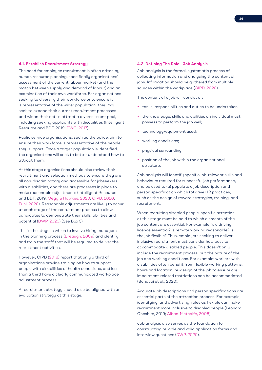### **4.1. Establish Recruitment Strategy**

The need for employee recruitment is often driven by human resource planning, specifically organisations' assessment of the current labour market (and the match between supply and demand of labour) and an examination of their own workforce. For organisations seeking to diversify their workforce or to ensure it is representative of the wider population, they may seek to expand their current recruitment processes and widen their net to attract a diverse talent pool, including seeking applicants with disabilities (Intelligent Resource and BDF, 2019; PWC, 2017).

Public service organisations, such as the police, aim to ensure their workforce is representative of the people they support. Once a target population is identified, the organisations will seek to better understand how to attract them.

At this stage organisations should also review their recruitment and selection methods to ensure they are all non-discriminatory and accessible for jobseekers with disabilities, and there are processes in place to make reasonable adjustments (Intelligent Resource and BDF, 2019; Gegg & Hawkes, 2020; CIPD, 2020; Fuhl, 2020). Reasonable adjustments are likely to occur at each stage of the recruitment process to allow candidates to demonstrate their skills, abilities and potential (DWP, 2020) (See Box 3).

This is the stage in which to involve hiring managers in the planning process (Breaugh, 2009) and identify and train the staff that will be required to deliver the recruitment activities.

However, CIPD (2018) report that only a third of organisations provide training on how to support people with disabilities of health conditions, and less than a third have a clearly communicated workplace adjustment process.

A recruitment strategy should also be aligned with an evaluation strategy at this stage.

#### **4.2. Defining The Role - Job Analysis**

Job analysis is the formal, systematic process of collecting information and analysing the content of jobs. Information should be gathered from multiple sources within the workplace (CIPD, 2020).

The content of a job will consist of:

- tasks, responsibilities and duties to be undertaken;
- the knowledge, skills and abilities an individual must possess to perform the job well;
- technology/equipment used;
- working conditions;
- physical surrounding;
- position of the job within the organisational structure.

Job analysis will identify specific job-relevant skills and behaviours required for successful job performance, and be used to (a) populate a job description and person specification which (b) drive HR practices, such as the design of reward strategies, training, and recruitment.

When recruiting disabled people, specific attention at this stage must be paid to which elements of the job content are essential. For example, is a driving licence essential? Is remote working reasonable? Is the job flexible? Thus, employers seeking to deliver inclusive recruitment must consider how best to accommodate disabled people. This doesn't only include the recruitment process, but the nature of the job and working conditions. For example: workers with disabilities often benefit from flexible working patterns, hours and location; re-design of the job to ensure any impairment-related restrictions can be accommodated (Bonacci et al., 2020).

Accurate job descriptions and person specifications are essential parts of the attraction process. For example, identifying, and advertising, roles as flexible can make recruitment more inclusive to disabled people (Leonard Cheshire, 2019; Alban-Metcalfe, 2008).

Job analysis also serves as the foundation for constructing reliable and valid application forms and interview questions (DWP, 2020).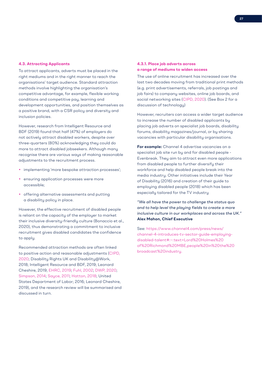#### **4.3. Attracting Applicants**

To attract applicants, adverts must be placed in the right mediums and in the right manner to reach the organisations' target audience. Standard attraction methods involve highlighting the organisation's competitive advantage, for example, flexible working conditions and competitive pay, learning and development opportunities, and position themselves as a positive brand, with a CSR policy and diversity and inclusion policies.

However, research from Intelligent Resource and BDF (2019) found that half (47%) of employers do not actively attract disabled workers, despite over three-quarters (80%) acknowledging they could do more to attract disabled jobseekers. Although many recognise there are various ways of making reasonable adjustments to the recruitment process.

- implementing 'more bespoke attraction processes';
- ensuring application processes were more accessible;
- offering alternative assessments and putting a disability policy in place.

However, the effective recruitment of disabled people is reliant on the capacity of the employer to market their inclusive diversity-friendly culture (Bonaccio et al., 2020), thus demonstrating a commitment to inclusive recruitment gives disabled candidates the confidence to apply.

Recommended attraction methods are often linked to positive action and reasonable adjustments (CIPD, 2020; Disability Rights UK and Disability@Work, 2018; Intelligent Resource and BDF, 2019; Leonard Cheshire, 2019; EHRC, 2019; Fuhl, 2002; DWP, 2020; Simpson, 2014; Sayce, 2011; Hatton, 2018; United States Department of Labor; 2016; Leonard Cheshire, 2019), and the research review will be summarised and discussed in turn.

# **4.3.1. Place job adverts across a range of mediums to widen access**

The use of online recruitment has increased over the last two decades moving from traditional print methods (e.g. print advertisements, referrals, job postings and job fairs) to company websites, online job boards, and social networking sites (CIPD, 2020). (See Box 2 for a discussion of technology)

However, recruiters can access a wider target audience to increase the number of disabled applicants by placing job adverts on specialist job boards, disability forums, disability magazines/journal, or by sharing vacancies with particular disability organisations.

**For example:** Channel 4 advertise vacancies on a specialist job site run by and for disabled people - Evenbreak. They aim to attract even more applications from disabled people to further diversify their workforce and help disabled people break into the media industry. Other initiatives include their Year of Disability (2016) and creation of their guide to employing disabled people (2018) which has been especially tailored for the TV industry

*"We all have the power to challenge the status quo and to help level the playing fields to create a more inclusive culture in our workplaces and across the UK."*  **Alex Mahon, Chief Executive**

See: https://www.channel4.com/press/news/ channel-4-introduces-tv-sector-guide-employingdisabled-talent#:~:text=Lord%20Holmes%20 of%20Richmond%20MBE,people%20in%20the%20 broadcast%20industry.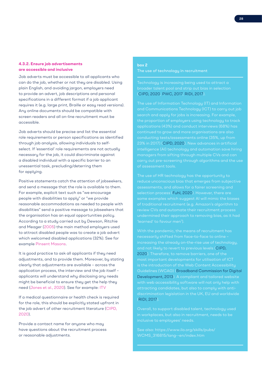# **4.3.2. Ensure job advertisements are accessible and inclusive**

Job adverts must be accessible to all applicants who can do the job, whether or not they are disabled. Using plain English, and avoiding jargon, employers need to provide an advert, job descriptions and personal specifications in a different format if a job applicant requires it (e.g. large print, Braille or easy read versions). Any online documents should be compatible with screen readers and all on-line recruitment must be accessible.

Job adverts should be precise and list the essential role requirements or person specifications as identified through job analysis, allowing individuals to selfselect. If 'essential' role requirements are not actually necessary for the job, it could discriminate against a disabled individual with a specific barrier to an unessential task, precluding/deterring them for applying.

Positive statements catch the attention of jobseekers, and send a message that the role is available to them. For example, explicit text such as "we encourage people with disabilities to apply" or "we provide reasonable accommodations as needed to people with disabilities" send a positive message to jobseekers that the organisation has an equal opportunities policy. According to a study carried out by Dewson, Ritchie and Meager (2005) the main method employers used to attract disabled people was to create a job advert which welcomed disabled applications (32%). See for example Pinsent Masons.

It is good practice to ask all applicants if they need adjustments, and to provide them. Moreover, by stating clearly that adjustments are available – across the application process, the interview and the job itself – applicants will understand why disclosing any needs might be beneficial to ensure they get the help they need (Jones et al., 2020). See for example: ITV

If a medical questionnaire or health check is required for the role, this should be explicitly stated upfront in the job advert of other recruitment literature (CIPD, 2020).

Provide a contact name for anyone who may have questions about the recruitment process or reasonable adjustments.

# **box 2** The use of technology in recruitment

Technology is increasing being used to attract a (CIPD, 2020; PWC, 2017; RIDI, 2017).

search and apply for jobs is increasing. For example, the proportion of employers using technology to track continued to grow and more organisations are also conducting tests/assessments online (35%, up from 23% in 2017) (CIPD, 2020). New advances in artificial intelligence (AI) technology and automation save hiring of assessment tools.

reduce unconscious bias that emerges from subjective assessments, and allows for a fairer screening and selection process (Fuhl, 2020). However, there are some examples which suggest AI will mimic the biases review CVs and automate their recruitment process undermined their approach to removing bias, as it had

With the pandemic, the means of recruitment has and not likely to revert to previous levels (CIPD, 2020). Therefore, to remove barriers, one of the is the introduction of the Web Content Accessibility Guidelines (WCAG) (Broadband Commission for Digital Development, 2013). A compliant and tailored website with web accessibility software will not only help with (RIDI, 2017).

See also: https://www.ilo.org/skills/pubs/ WCMS\_316815/lang--en/index.htm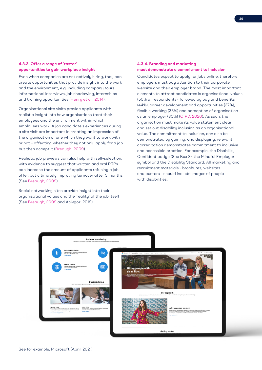# **4.3.3. Offer a range of 'taster' opportunities to gain workplace insight**

Even when companies are not actively hiring, they can create opportunities that provide insight into the work and the environment, e.g. including company tours, informational interviews, job shadowing, internships and training opportunities (Henry et al., 2014).

Organisational site visits provide applicants with realistic insight into how organisations treat their employees and the environment within which employees work. A job candidate's experiences during a site visit are important in creating an impression of the organisation of one which they want to work with or not – affecting whether they not only apply for a job but then accept it (Breaugh, 2009).

Realistic job previews can also help with self-selection, with evidence to suggest that written and oral RJPs can increase the amount of applicants refusing a job offer, but ultimately improving turnover after 3 months (See Breaugh, 2009).

Social networking sites provide insight into their organisational values and the 'reality' of the job itself (See Breaugh, 2009 and Acikgoz, 2019).

# **4.3.4. Branding and marketing must demonstrate a commitment to inclusion**

Candidates expect to apply for jobs online, therefore employers must pay attention to their corporate website and their employer brand. The most important elements to attract candidates is organisational values (50% of respondents), followed by pay and benefits (44%), career development and opportunities (37%), flexible working (33%) and perception of organisation as an employer (30%) (CIPD, 2020). As such, the organisation must make its value statement clear and set out disability inclusion as an organisational value. The commitment to inclusion, can also be demonstrated by gaining, and displaying, relevant accreditation demonstrates commitment to inclusive and accessible practice. For example, the Disability Confident badge (See Box 3), the Mindful Employer symbol and the Disability Standard. All marketing and recruitment materials - brochures, websites and posters - should include images of people with disabilities.

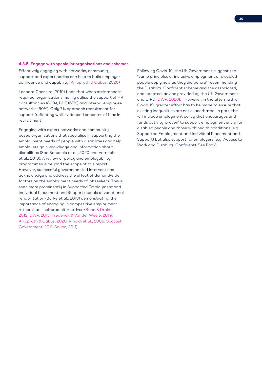#### **4.3.5. Engage with specialist organisations and schemes**

Effectively engaging with networks, community support and expert bodies can help to build employer confidence and capability (Knipprath & Cabus, 2020)

Leonard Cheshire (2019) finds that when assistance is required, organisations mainly utilise the support of HR consultancies (80%), BDF (67%) and internal employee networks (60%). Only 7% approach recruitment for support (reflecting well-evidenced concerns of bias in recruitment).

Engaging with expert networks and communitybased organisations that specialise in supporting the employment needs of people with disabilities can help employers gain knowledge and information about disabilities (See Bonaccio et al., 2020 and Vornholt et al., 2018). A review of policy and employability programmes is beyond the scope of this report. However, successful government-led interventions acknowledge and address the effect of demand-side factors on the employment needs of jobseekers. This is seen more prominently in Supported Employment and Individual Placement and Support models of vocational rehabilitation (Burke et al., 2013) demonstrating the importance of engaging in competitive employment rather than sheltered alternatives (Bond & Drake, 2012; DWP, 2013; Frederick & Vander Weele, 2019; Knipprath & Cabus, 2020; Rinaldi et al., 2008; Scottish Government, 2011; Sayce, 2011).

Following Covid-19, the UK Government suggest the "same principles of inclusive employment of disabled people apply now as they did before" recommending the Disability Confident scheme and the associated, and updated, advice provided by the UK Government and CIPD (DWP, 2020b). However, in the aftermath of Covid-19, greater effort has to be made to ensure that existing inequalities are not exacerbated. In part, this will include employment policy that encourages and funds activity 'proven' to support employment entry for disabled people and those with health conditions (e.g. Supported Employment and Individual Placement and Support) but also support for employers (e.g. Access to Work and Disability Confident). See Box 3.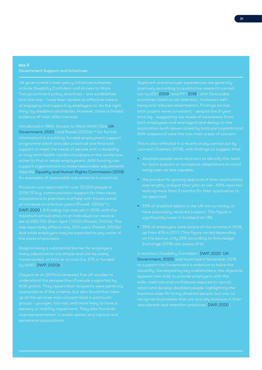# **box 3** Government Support and Initiatives

UK government's main policy initiatives/schemes Two government policy directives – one established and one new – have been lauded as effective means evidence of their effectiveness.

Introduced in 1994, Access to Work (AtW) (See UK Government, 2020) and Powell (2020a<sup>xvii)</sup> for further information) is a publicly-funded employment support support to meet the needs of people with a disability support organisations to make reasonable adjustments (See the Equality and Human Rights Commission (2019)

Provision was approved for over 32,000 people in DWP, 2020). A funding cap was set in 2015, with the

Despite being a substantial barrier for employers, many adjustments are simple and can be easily by AtW) (DWP, 2020b).

appreciative of the scheme, but also found that takeup of the services was concentrated in particular secretarial occupations.

Applicant and employer experiences are generally out by IES (2009) and IFF (2018), with favourable outcomes listed as job retention, increased wellbeing and reduced absenteeism. Findings across time lag - suggesting low levels of awareness (from application (with issues raised by both participants and

This is also reflected in a recent study carried out by Leonard Cheshire (2019), with findings to suggest that:

- disabled people were reluctant to identify the need
- the process for gaining approval of their applications waiting more than 3 months for their application to
- 23% of disabled adults in the UK are currently, or
- 59% of employers were aware of the scheme in 2018, on the source, only 25% according to Knowledge Exchange (2018) are aware of it).

In addition, Disability Confident (DWP, 2020; UK Government, 2020) was launched in November 2016 recruitment and retention practices (DWP, 2020).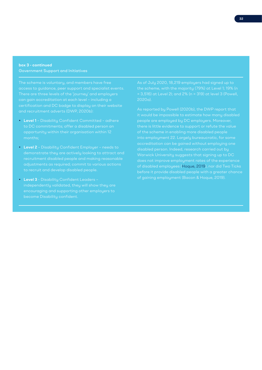# **box 3 - continued** Government Support and Initiatives

The scheme is voluntary, and members have free can gain accreditation at each level – including a and recruitment adverts (DWP, 2020b):

- **Level 1**  Disability Confident Committed adhere
- **Level 2** Disability Confident Employer needs to
- **Level 3**  Disability Confident Leaders –

As of July 2020, 18,219 employers had signed up to 2020a).

it would be impossible to estimate how many disabled disabled person. Indeed, research carried out by of disabled employees (Hoque, 2019), nor did Two Ticks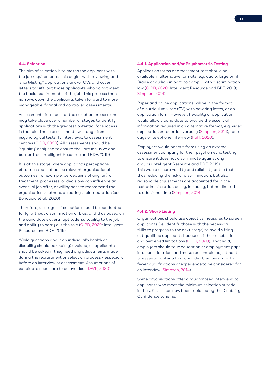## **4.4. Selection**

The aim of selection is to match the applicant with the job requirements. This begins with reviewing and 'short-listing" applications and/or CVs and cover letters to 'sift' out those applicants who do not meet the basic requirements of the job. This process then narrows down the applicants taken forward to more manageable, formal and controlled assessments.

Assessments form part of the selection process and may take place over a number of stages to identify applications with the greatest potential for success in the role. These assessments will range from psychological tests, to interviews, to assessment centres (CIPD, 2020). All assessments should be 'equality' analysed to ensure they are inclusive and barrier-free (Intelligent Resource and BDF, 2019)

It is at this stage where applicant's perceptions of fairness can influence relevant organisational outcomes: for example, perceptions of any (un)fair treatment, processes, or decisions can influence an eventual job offer, or willingness to recommend the organisation to others, affecting their reputation (see Bonaccio et al., 2020)

Therefore, all stages of selection should be conducted fairly, without discrimination or bias, and thus based on the candidate's overall aptitude, suitability to the job and ability to carry out the role (CIPD, 2020; Intelligent Resource and BDF, 2019).

While questions about an individual's health or disability should be (mainly) avoided, all applicants should be asked if they need any adjustments made during the recruitment or selection process – especially before an interview or assessment. Assumptions of candidate needs are to be avoided. (DWP, 2020).

#### **4.4.1. Application and/or Psychometric Testing**

Application forms or assessment test should be available in alternative formats, e.g. audio, large print, Braille or audio - in part, to comply with discrimination law (CIPD, 2020; Intelligent Resource and BDF, 2019; Simpson, 2014)

Paper and online applications will be in the format of a curriculum vitae (CV) with covering letter, or an application form. However, flexibility of application would allow a candidate to provide the essential information required in an alternative format, e.g. video application or recorded verbally (Simpson, 2014), taster days or telephone interview (Fuhl, 2020).

Employers would benefit from using an external assessment company for their psychometric testing to ensure it does not discriminate against any groups (Intelligent Resource and BDF, 2019). This would ensure validity and reliability of the test, thus reducing the risk of discrimination, but also reasonable adjustments are accounted for in the test administration policy, including, but not limited to additional time (Simpson, 2014).

## **4.4.2. Short-Listing**

Organisations should use objective measures to screen applicants (i.e. identify those with the necessary skills to progress to the next stage) to avoid sifting out qualified applicants because of their disabilities and perceived limitations (CIPD, 2020). That said, employers should take education or employment gaps into consideration, and make reasonable adjustments to essential criteria to allow a disabled person with fewer qualifications or experience to be considered for an interview (Simpson, 2014).

Some organisations offer a "guaranteed interview" to applicants who meet the minimum selection criteria: in the UK, this has now been replaced by the Disability Confidence scheme.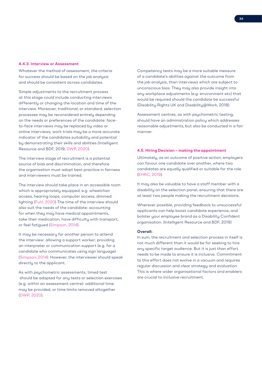#### **4.4.3. Interview or Assessment**

Whatever the method of assessment, the criteria for success should be based on the job analysis and should be consistent across candidates.

Simple adjustments to the recruitment process at this stage could include conducting interviews differently or changing the location and time of the interview. Moreover, traditional, or standard, selection processes may be reconsidered entirely depending on the needs or preferences of the candidate: faceto-face interviews may be replaced by video or online interviews; work trials may be a more accurate indicator of the candidates suitability and potential by demonstrating their skills and abilities (Intelligent Resource and BDF, 2019; DWP, 2020).

The interview stage of recruitment is a potential source of bias and discrimination, and therefore the organisation must adopt best practice in fairness and interviewers must be trained.

The interview should take place in an accessible room which is appropriately equipped, e.g. wheelchair access, hearing loops, computer access, dimmed lighting (Fuhl, 2020) The time of the interview should also suit the needs of the candidate: accounting for when they may have medical appointments, take their medication, have difficulty with transport, or feel fatigued (Simpson, 2014).

It may be necessary for another person to attend the interview: allowing a support worker; providing an interpreter or communication support (e.g. for a candidate who communicates using sign language) (Simpson, 2014). However, the interviewer should speak directly to the applicant.

As with psychometric assessments, timed test should be adapted for any tests or selection exercises (e.g. within an assessment centre): additional time may be provided, or time limits removed altogether (DWP, 2020).

Competency tests may be a more suitable measure of a candidate's abilities against the outcome from the job analysis, than interviews which are subject to unconscious bias. They may also provide insight into any workplace adjustments (e.g. environment etc) that would be required should the candidate be successful (Disability Rights UK and Disability@Work, 2018).

Assessment centres, as with psychometric testing, should have an administration policy which addresses reasonable adjustments, but also be conducted in a fair manner.

## **4.5. Hiring Decision – making the appointment**

Ultimately, as an outcome of positive action, employers can favour one candidate over another, where two candidates are equally qualified or suitable for the role (EHRC, 2019).

It may also be valuable to have a staff member with a disability on the selection panel, ensuring that there are at least two people making the recruitment decisions.

Wherever possible, providing feedback to unsuccessful applicants can help boost candidate experience, and bolster your employee brand as a Disability Confident organisation. (Intelligent Resource and BDF, 2019)

#### **Overall:**

In sum, the recruitment and selection process in itself is not much different than it would be for seeking to hire any specific target audience. But it is just than effort needs to be made to ensure it is inclusive. Commitment to this effort does not evolve in a vacuum and requires regular discussion and clear strategy and evaluation. This is where wider organisational factors and enablers are crucial to inclusive recruitment.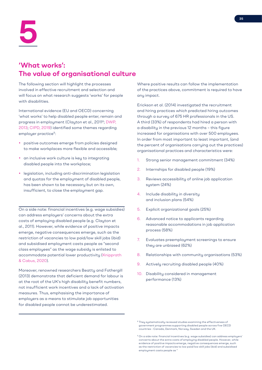# **'What works': The value of organisational culture**

The following section will highlight the processes involved in effective recruitment and selection and will focus on what research suggests 'works' for people with disabilities.

International evidence (EU and OECD) concerning 'what works' to help disabled people enter, remain and progress in employment (Clayton et al., 20118; DWP, 2013; CIPD, 2019) identified some themes regarding employer practice<sup>9</sup>:

- positive outcomes emerge from policies designed to make workplaces more flexible and accessible;
- an inclusive work culture is key to integrating disabled people into the workplace;
- legislation, including anti-discrimination legislation and quotas for the employment of disabled people, has been shown to be necessary but on its own, insufficient, to close the employment gap.

On a side note: financial incentives (e.g. wage subsidies) can address employers' concerns about the extra costs of employing disabled people (e.g. Clayton et al., 2011). However, while evidence of positive impacts emerge, negative consequences emerge, such as the restriction of vacancies to low paid/low skill jobs (ibid) and subsidised employment casts people as "second class employees" as the wage subsidy is enlisted to accommodate potential lower productivity (Knipprath & Cabus, 2020).

Moreover, renowned researchers Beatty and Fothergill (2013) demonstrate that deficient demand for labour is at the root of the UK's high disability benefit numbers, not insufficient work incentives and a lack of activation measures. Thus, emphasising the importance of employers as a means to stimulate job opportunities for disabled people cannot be underestimated.

Where positive results can follow the implementation of the practices above, commitment is required to have any impact.

Erickson et al. (2014) investigated the recruitment and hiring practices which predicted hiring outcomes through a survey of 675 HR professionals in the US. A third (33%) of respondents had hired a person with a disability in the previous 12 months – this figure increased for organisations with over 500 employees. In order from most important to least important, (and the percent of organisations carrying out the practices) organisational practices and characteristics were:

- 1. Strong senior management commitment (34%)
- 2. Internships for disabled people (19%)
- 3. Reviews accessibility of online job application system (24%)
- 4. Include disability in diversity and inclusion plans (54%)
- 5. Explicit organizational goals (25%)
- 6. Advanced notice to applicants regarding reasonable accommodations in job application process (58%)
- 7. Evaluates preemployment screenings to ensure they are unbiased (62%)
- 8. Relationships with community organisations (53%)
- 9. Actively recruiting disabled people (40%)
- 10. Disability considered in management performance (13%)

<sup>8</sup> They systematically reviewed studies examining the effectiveness of government programmes supporting disabled people across five OECD countries - Canada, Denmark, Norway, Sweden and the UK.

<sup>9</sup> On a side note: financial incentives (e.g. wage subsidies) can address employers' concerns about the extra costs of employing disabled people. However, while evidence of positive impacts emerge, negative consequences emerge, such as the restriction of vacancies to low paid/low skill jobs (ibid) and subsidised employment casts people as "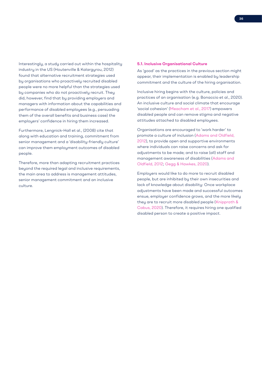Interestingly, a study carried out within the hospitality industry in the US (Houtenville & Kalargyrou, 2012) found that alternative recruitment strategies used by organisations who proactively recruited disabled people were no more helpful than the strategies used by companies who do not proactively recruit. They did, however, find that by providing employers and managers with information about the capabilities and performance of disabled employees (e.g., persuading them of the overall benefits and business case) the employers' confidence in hiring them increased.

Furthermore, Lengnick-Hall et al., (2008) cite that along with education and training, commitment from senior management and a 'disability-friendly culture' can improve them employment outcomes of disabled people.

Therefore, more than adapting recruitment practices beyond the required legal and inclusive requirements, the main area to address is management attitudes, senior management commitment and an inclusive culture.

#### **5.1. Inclusive Organisational Culture**

As 'good' as the practices in the previous section might appear, their implementation is enabled by leadership commitment and the culture of the hiring organisation.

Inclusive hiring begins with the culture, policies and practices of an organisation (e.g. Bonaccio et al., 2020). An inclusive culture and social climate that encourage 'social cohesion' (Meacham et al., 2017) empowers disabled people and can remove stigma and negative attitudes attached to disabled employees.

Organisations are encouraged to 'work harder' to promote a culture of inclusion (Adams and Oldfield, 2012), to provide open and supportive environments where individuals can raise concerns and ask for adjustments to be made; and to raise (all) staff and management awareness of disabilities (Adams and Oldfield, 2012; Gegg & Hawkes, 2020).

Employers would like to do more to recruit disabled people, but are inhibited by their own insecurities and lack of knowledge about disability: Once workplace adjustments have been made and successful outcomes ensue, employer confidence grows, and the more likely they are to recruit more disabled people (Knipprath & Cabus, 2020). Therefore, it requires hiring one qualified disabled person to create a positive impact.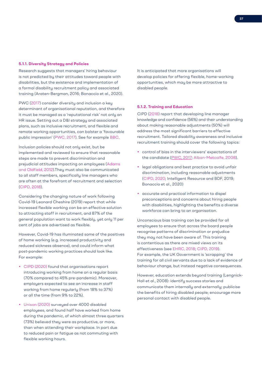#### **5.1.1. Diversity Strategy and Policies**

Research suggests that managers' hiring behaviour is not predicted by their attitudes toward people with disabilities, but the existence and implementation of a formal disability recruitment policy and associated training (Araten-Bergman, 2016; Bonaccio et al., 2020).

PWC (2017) consider diversity and inclusion a key determinant of organisational reputation, and therefore it must be managed as a 'reputational risk' not only an HR issue. Setting out a D&I strategy and associated plans, such as inclusive recruitment, and flexible and remote working opportunities, can bolster a 'favourable public impression' (PWC, 2017). See for example BBC.

Inclusion policies should not only exist, but be implemented and reviewed to ensure that reasonable steps are made to prevent discrimination and prejudicial attitudes impacting on employees (Adams and Oldfield, 2012).They must also be communicated to all staff members, specifically line managers who are often at the forefront of recruitment and selection (CIPD, 2018).

Considering the changing nature of work following Covid-19 Leonard Cheshire (2019) report that while increased flexible working can be an effective solution to attracting staff in recruitment, and 87% of the general population want to work flexibly, yet only 11 per cent of jobs are advertised as flexible.

However, Covid-19 has illuminated some of the positives of home working (e.g. increased productivity and reduced sickness absence), and could inform what post-pandemic working practices should look like. For example:

- CIPD (2020) found that organisations report introducing working from home on a regular basis (70% compared to 45% pre-pandemic). Moreover, employers expected to see an increase in staff working from home regularly (from 18% to 37%) or all the time (from 9% to 22%).
- Unison (2020) surveyed over 4000 disabled employees, and found half have worked from home during the pandemic, of which almost three quarters (73%) believed they were as productive, or more, than when attending their workplace. In part due to reduced pain or fatigue as not commuting with flexible working hours.

It is anticipated that more organisations will develop policies for offering flexible, home-working opportunities, which may be more attractive to disabled people.

## **5.1.2. Training and Education**

CIPD (2018) report that developing line manager knowledge and confidence (56%) and their understanding about making reasonable adjustments (50%) will address the most significant barriers to effective recruitment. Tailored disability awareness and inclusive recruitment training should cover the following topics:

- control of bias in the interviewers' expectations of the candidate (PWC, 2017; Alban-Metcalfe, 2008).
- legal obligations and best practice to avoid unfair discrimination, including reasonable adjustments (CIPD, 2020; Intelligent Resource and BDF, 2019; Bonaccio et al., 2020)
- accurate and practical information to dispel preconceptions and concerns about hiring people with disabilities, highlighting the benefits a diverse workforce can bring to an organisation.

Unconscious bias training can be provided for all employees to ensure that across the board people recognise patterns of discrimination or prejudice they may not have been aware of. This training is contentious as there are mixed views on its effectiveness (see EHRC, 2018; CIPD, 2019). For example, the UK Government is 'scrapping' the training for all civil servants due to a lack of evidence of behaviour change, but instead negative consequences.

However, education extends beyond training (Lengnick-Hall et al., 2008): identify success stories and communicate them internally and externally; publicise the benefits of hiring disabled people; encourage more personal contact with disabled people.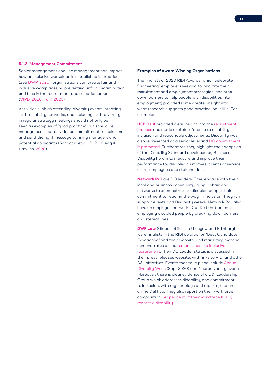#### **5.1.3. Management Commitment**

Senior management and line management can impact how an inclusive workplace is established in practice (See DWP, 2020): organisations can create fair and inclusive workplaces by preventing unfair discrimination and bias in the recruitment and selection process (CIPD, 2020; Fuhl, 2020).

Activities such as attending diversity events, creating staff disability networks, and including staff diversity in regular strategy meetings should not only be seen as examples of 'good practice', but should be management-led to evidence commitment to inclusion and send the right message to hiring managers and potential applicants (Bonaccio et al., 2020; Gegg & Hawkes, 2020).

## **Examples of Award Winning Organisations**

The finalists of 2020 RIDI Awards (which celebrate "pioneering" employers seeking to innovate their recruitment and employment strategies, and break down barriers to help people with disabilities into employment) provided some greater insight into what research suggests good practice looks like. For example:

**HSBC UK** provided clear insight into the recruitment process and made explicit reference to disability inclusion and reasonable adjustments. Disability was also represented at a senior level and DC commitment is promoted. Furthermore they highlight their adoption of the Disability Standard developed by Business Disability Forum to measure and improve their performance for disabled customers, clients or service users, employees and stakeholders.

**Network Rail** are DC leaders. They engage with their local and business community, supply chain and networks to demonstrate to disabled people their commitment to 'leading the way' in inclusion. They run support events and Disability weeks. Network Rail also have an employee network ('CanDo') that promotes employing disabled people by breaking down barriers and stereotypes.

**DWF Law** (Global; offices in Glasgow and Edinburgh) were finalists in the RIDI awards for "Best Candidate Experience" and their website, and marketing material, demonstrates a clear commitment to inclusive recruitment. Their DC Leader status is discussed in their press releases website, with links to RIDI and other D&I initiatives. Events that take place include Annual Diversity Week (Sept 2020) and Neurodiversity events. Moreover, there is clear evidence of a D&I Leadership Group which addresses disability, and commitment to inclusion, with regular blogs and reports, and an online D&I hub. They also report on their workforce composition: Six per cent of their workforce (2019) reports a disability.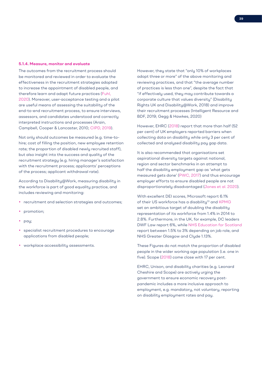#### **5.1.4. Measure, monitor and evaluate**

The outcomes from the recruitment process should be monitored and reviewed in order to evaluate the effectiveness in the recruitment strategies adopted to increase the appointment of disabled people, and therefore learn and adapt future practices (Fuhl, 2020). Moreover, user-acceptance testing and a pilot are useful means of assessing the suitability of the end-to-end recruitment process, to ensure interviews, assessors, and candidates understood and correctly interpreted instructions and processes (Arain, Campbell, Cooper & Lancaster, 2010; CIPD, 2019).

Not only should outcomes be measured (e.g. time-tohire; cost of filling the position, new employee retention rate; the proportion of disabled newly recruited staff), but also insight into the success and quality of the recruitment strategy (e.g. hiring manager's satisfaction with the recruitment process; applicants' perceptions of the process; applicant withdrawal rate).

According to Disability@Work, measuring disability in the workforce is part of good equality practice, and includes reviewing and monitoring:

- recruitment and selection strategies and outcomes;
- promotion;
- pay;
- specialist recruitment procedures to encourage applications from disabled people;
- workplace accessibility assessments.

However, they state that "only 10% of workplaces adopt three or more" of the above monitoring and reviewing practices, and that "the average number of practices is less than one", despite the fact that "if effectively used, they may contribute towards a corporate culture that values diversity" (Disability Rights UK and Disability@Work, 2018) and improve their recruitment processes (Intelligent Resource and BDF, 2019; Gegg & Hawkes, 2020)

However, EHRC (2018) report that more than half (52 per cent) of UK employers reported barriers when collecting data on disability while only 3 per cent of collected and analysed disability pay gap data.

It is also recommended that organisations set aspirational diversity targets against national, region and sector benchmarks in an attempt to half the disability employment gap as 'what gets measured gets done' (PWC, 2017) and thus encourage employer efforts to ensure disabled people are not disproportionately disadvantaged (Jones et al. 2020).

With excellent DEI scores, Microsoft report 6.1% of their US workforce has a disability<sup>10</sup> and KPMG set an ambitious target of doubling the disability representation of its workforce from 1.4% in 2014 to 2.8%. Furthermore, in the UK, for example, DC leaders DWF Law report 6%, while NHS Education for Scotland report between 1.5% to 3% depending on job role, and NHS Greater Glasgow and Clyde 1.13%.

These Figures do not match the proportion of disabled people in the wider working age population (i.e. one in five). Scope (2018) come close with 17 per cent.

EHRC, Unison, and disability charities (e.g. Leonard Cheshire and Scope) are actively urging the government to ensure economic recovery postpandemic includes a more inclusive approach to employment, e.g. mandatory, not voluntary, reporting on disability employment rates and pay.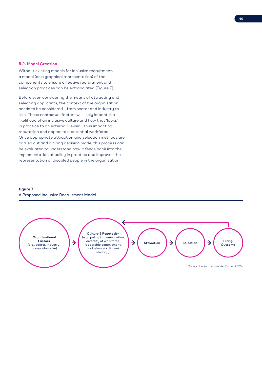#### **5.2. Model Creation**

Without existing models for inclusive recruitment, a model (as a graphical representation) of the components to ensure effective recruitment and selection practices can be extrapolated (Figure 7).

Before even considering the means of attracting and selecting applicants, the context of the organisation needs to be considered – from sector and industry to size. These contextual factors will likely impact the likelihood of an inclusive culture and how that 'looks' in practice to an external viewer – thus impacting reputation and appeal to a potential workforce. Once appropriate attraction and selection methods are carried out and a hiring decision made, this process can be evaluated to understand how it feeds back into the implementation of policy in practice and improves the representation of disabled people in the organisation.

# **figure 7** A Proposed Inclusive Recruitment Model

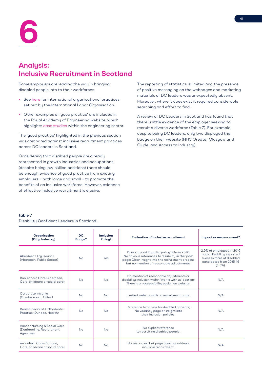# **Analysis: Inclusive Recruitment in Scotland**

Some employers are leading the way in bringing disabled people into to their workforces.

- See here for international organisational practices set out by the International Labor Organisation.
- Other examples of 'good practice' are included in the Royal Academy of Engineering website, which highlights case studies within the engineering sector.

The 'good practice' highlighted in the previous section was compared against inclusive recruitment practices across DC leaders in Scotland.

Considering that disabled people are already represented in growth industries and occupations (despite being low-skilled positions) there should be enough evidence of good practice from existing employers – both large and small – to promote the benefits of an inclusive workforce. However, evidence of effective inclusive recruitment is elusive.

The reporting of statistics is limited and the presence of positive messaging on the webpages and marketing materials of DC leaders was unexpectedly absent. Moreover, where it does exist it required considerable searching and effort to find.

A review of DC Leaders in Scotland has found that there is little evidence of the employer seeking to recruit a diverse workforce (Table 7). For example, despite being DC leaders, only two displayed the badge on their website (NHS Greater Glasgow and Clyde, and Access to Industry).

# **table 7** Disability Confident Leaders in Scotland.

| Organisation<br>(City, Industry)                                                  | <b>DC</b><br>Badge? | Inclusion<br>Policy? | <b>Evaluation of inclusive recruitment</b>                                                                                                                                                        | Impact or measurement?                                                                                                         |
|-----------------------------------------------------------------------------------|---------------------|----------------------|---------------------------------------------------------------------------------------------------------------------------------------------------------------------------------------------------|--------------------------------------------------------------------------------------------------------------------------------|
| Aberdeen City Council<br>(Aberdeen, Public Sector)                                | <b>No</b>           | <b>Yes</b>           | Diversity and Equality policy is from 2012;<br>No obvious references to disability in the 'jobs'<br>page; Clear insight into the recruitment process<br>but no mention of reasonable adjustments. | 2.9% of employees in 2016<br>had a disability; reported<br>success rates of disabled<br>candidates from 2015-16<br>$(3.5\%)$ . |
| Bon Accord Care (Aberdeen,<br>Care, childcare or social care)                     | <b>No</b>           | No                   | No mention of reasonable adjustments or<br>disability inclusion within 'works with us' section;<br>There is an accessibility option on website.                                                   | N/A                                                                                                                            |
| Corporate Insignia<br>(Cumbernauld, Other)                                        | <b>No</b>           | <b>No</b>            | Limited website with no recruitment page.                                                                                                                                                         | N/A                                                                                                                            |
| Beam Specialist Orthodontic<br>Practice (Dundee, Health)                          | <b>No</b>           | <b>No</b>            | Reference to access for disabled patients;<br>No vacancy page or insight into<br>their inclusion policies.                                                                                        | N/A                                                                                                                            |
| <b>Anchor Nursing &amp; Social Care</b><br>(Dunfermline, Recruitment<br>Agencies) | <b>No</b>           | <b>No</b>            | No explicit reference<br>to recruiting disabled people.                                                                                                                                           | N/A                                                                                                                            |
| Ardnahein Care (Dunoon,<br>Care, childcare or social care)                        | <b>No</b>           | <b>No</b>            | No vacancies, but page does not address<br>inclusive recruitment.                                                                                                                                 | N/A                                                                                                                            |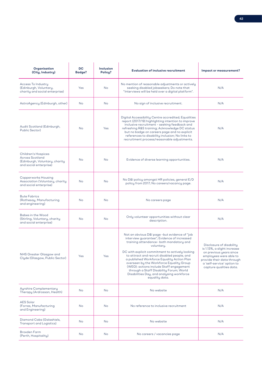| Organisation<br>(City, Industry)                                                                                                                                                                                                                                                                                                                                                                                                                                                                                                                                                  | <b>DC</b><br>Badge? | Inclusion<br>Policy?                                                                                                                                                                                | <b>Evaluation of inclusive recruitment</b>                                                                                                                                                                                                                                                                                                                    | Impact or measurement? |
|-----------------------------------------------------------------------------------------------------------------------------------------------------------------------------------------------------------------------------------------------------------------------------------------------------------------------------------------------------------------------------------------------------------------------------------------------------------------------------------------------------------------------------------------------------------------------------------|---------------------|-----------------------------------------------------------------------------------------------------------------------------------------------------------------------------------------------------|---------------------------------------------------------------------------------------------------------------------------------------------------------------------------------------------------------------------------------------------------------------------------------------------------------------------------------------------------------------|------------------------|
| Access To Industry<br>(Edinburgh, Voluntary,<br>charity and social enterprise)                                                                                                                                                                                                                                                                                                                                                                                                                                                                                                    | Yes                 | <b>No</b>                                                                                                                                                                                           | No mention of reasonable adjustments or actively<br>seeking disabled jobseekers; Do note that<br>"Interviews will be held over a digital platform".                                                                                                                                                                                                           | N/A                    |
| AstroAgency (Edinburgh, other)                                                                                                                                                                                                                                                                                                                                                                                                                                                                                                                                                    | No                  | No.                                                                                                                                                                                                 | No sign of inclusive recruitment.                                                                                                                                                                                                                                                                                                                             | N/A                    |
| Audit Scotland (Edinburgh,<br>Public Sector)                                                                                                                                                                                                                                                                                                                                                                                                                                                                                                                                      | <b>No</b>           | Yes                                                                                                                                                                                                 | Digital Accessibility Centre accredited; Equalities<br>report (2017/19) highlighting intention to improve<br>inclusive recruitment - seeking feedback and<br>refreshing R&S training; Acknowledge DC status<br>but no badge on careers page and no explicit<br>references to disability inclusion; No links to<br>recruitment process/reasonable adjustments. | N/A                    |
| Children's Hospices<br><b>Across Scotland</b><br>(Edinburgh, Voluntary, charity<br>and social enterprise)                                                                                                                                                                                                                                                                                                                                                                                                                                                                         | <b>No</b>           | <b>No</b>                                                                                                                                                                                           | Evidence of diverse learning opportunities.                                                                                                                                                                                                                                                                                                                   | N/A                    |
| Copperworks Housing<br>Association (Voluntary, charity<br>and social enterprise)                                                                                                                                                                                                                                                                                                                                                                                                                                                                                                  | <b>No</b>           | <b>No</b>                                                                                                                                                                                           | No D&I policy amongst HR policies, general E/D<br>policy from 2017; No careers/vacancy page.                                                                                                                                                                                                                                                                  | N/A                    |
| <b>Bute Fabrics</b><br>(Rothesay, Manufacturing<br>and engineering)                                                                                                                                                                                                                                                                                                                                                                                                                                                                                                               | No                  | <b>No</b>                                                                                                                                                                                           | No careers page                                                                                                                                                                                                                                                                                                                                               | N/A                    |
| Babes in the Wood<br>(Stirling, Voluntary, charity<br>and social enterprise)                                                                                                                                                                                                                                                                                                                                                                                                                                                                                                      | <b>No</b>           | <b>No</b>                                                                                                                                                                                           | Only volunteer opportunities without clear<br>description.                                                                                                                                                                                                                                                                                                    | N/A                    |
| Not an obvious D&I page -but evidence of "job<br>interview guarantee"; Evidence of increased<br>training attendance- both mandatory and<br>voluntary.<br>DC with explicit commitment to actively looking<br>NHS Greater Glasgow and<br>to attract and recruit disabled people, and<br>Yes<br>Yes<br>Clyde (Glasgow, Public Sector)<br>a published Workforce Equality Action Plan<br>overseen by the Workforce Equality Group<br>(WEG): actions include Staff engagement<br>through a Staff Disability Forum; World<br>Disabilities Day, and analysing workforce<br>equality data. |                     | Disclosure of disability<br>is 1.13%, a slight increase<br>on previous years since<br>employees were able to<br>provide their data through<br>a 'self-service' option to<br>capture qualities data. |                                                                                                                                                                                                                                                                                                                                                               |                        |
| <b>Ayrshire Complementary</b><br>Therapy (Ardrossan, Health)                                                                                                                                                                                                                                                                                                                                                                                                                                                                                                                      | No                  | <b>No</b>                                                                                                                                                                                           | No website                                                                                                                                                                                                                                                                                                                                                    | N/A                    |
| <b>AES Solar</b><br>(Forres, Manufacturing<br>and Engineering)                                                                                                                                                                                                                                                                                                                                                                                                                                                                                                                    | No                  | <b>No</b>                                                                                                                                                                                           | No reference to inclusive recruitment                                                                                                                                                                                                                                                                                                                         | N/A                    |
| Diamond Cabs (Galashiels,<br>Transport and Logistics)                                                                                                                                                                                                                                                                                                                                                                                                                                                                                                                             | No                  | No                                                                                                                                                                                                  | No website                                                                                                                                                                                                                                                                                                                                                    | N/A                    |
| <b>Broxden Farm</b><br>(Perth, Hospitality)                                                                                                                                                                                                                                                                                                                                                                                                                                                                                                                                       | <b>No</b>           | No                                                                                                                                                                                                  | No careers / vacancies page                                                                                                                                                                                                                                                                                                                                   | N/A                    |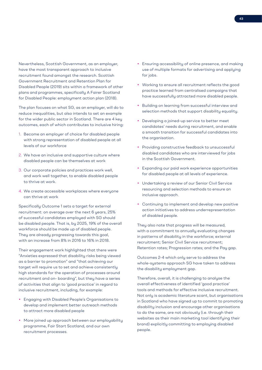Nevertheless, Scottish Government, as an employer, have the most transparent approach to inclusive recruitment found amongst the research. Scottish Government Recruitment and Retention Plan for Disabled People (2019) sits within a framework of other plans and programmes, specifically A Fairer Scotland for Disabled People: employment action plan (2018).

The plan focuses on what SG, as an employer, will do to reduce inequalities, but also intends to set an example for the wider public sector in Scotland. There are 4 key outcomes, each of which contributes to inclusive hiring:

- 1. Become an employer of choice for disabled people with strong representation of disabled people at all levels of our workforce
- 2. We have an inclusive and supportive culture where disabled people can be themselves at work
- 3. Our corporate policies and practices work well, and work well together, to enable disabled people to thrive at work.
- 4. We create accessible workplaces where everyone can thrive at work

Specifically Outcome 1 sets a target for external recruitment: on average over the next 6 years, 25% of successful candidates employed with SG should be disabled people. That is, by 2025, 19% of the overall workforce should be made up of disabled people. They are already progressing towards this goal, with an increase from 8% in 2016 to 16% in 2018.

Their engagement work highlighted that there were "Anxieties expressed that disability risks being viewed as a barrier to promotion" and "that achieving our target will require us to set and achieve consistently high standards for the operation of processes around recruitment and on- boarding", but they have a series of activities that align to 'good practice' in regard to inclusive recruitment, including, for example:

- Engaging with Disabled People's Organisations to develop and implement better outreach methods to attract more disabled people
- More joined up approach between our emplouability programme, Fair Start Scotland, and our own recruitment processes.
- Ensuring accessibility of online presence, and making use of multiple formats for advertising and applying for jobs.
- Working to ensure all recruitment reflects the good practice learned from centralised campaigns that have successfully attracted more disabled people.
- Building on learning from successful interview and selection methods that support disability equality.
- Developing a joined-up service to better meet candidates' needs during recruitment, and enable a smooth transition for successful candidates into the organisation.
- Providing constructive feedback to unsuccessful disabled candidates who are interviewed for jobs in the Scottish Government.
- Expanding our paid work experience opportunities for disabled people at all levels of experience.
- Undertaking a review of our Senior Civil Service resourcing and selection methods to ensure an inclusive approach.
- Continuing to implement and develop new positive action initiatives to address underrepresentation of disabled people.

They also note that progress will be measured, with a commitment to annually evaluating changes in patterns of disability in the workforce; external recruitment; Senior Civil Service recruitment; Retention rates; Progression rates; and the Pay gap.

Outcomes 2-4 which only serve to address the whole-systems approach SG have taken to address the disability employment gap.

Therefore, overall, it is challenging to analyse the overall effectiveness of identified 'good practice' tools and methods for effective inclusive recruitment. Not only is academic literature scant, but organisations in Scotland who have signed up to commit to promoting disability inclusion and encourage other organisations to do the same, are not obviously (i.e. through their websites as their main marketing tool identifying their brand) explicitly committing to employing disabled people.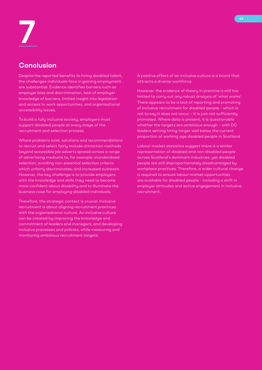# **Conclusion**

Despite the reported benefits to hiring disabled talent, the challenges individuals face in gaining employment are substantial. Evidence identifies barriers such as employer bias and discrimination, lack of employer knowledge of barriers, limited insight into legislation and access to work opportunities, and organisational accessibility issues.

To build a fully inclusive society, employers must support disabled people at every stage of the recruitment and selection process.

Where problems exist, solutions and recommendations to recruit and select fairly include attraction methods beyond accessible job adverts spread across a range of advertising mediums to, for example: standardised selection; avoiding non-essential selection criteria which unfairly discriminates; and increased outreach. However, the key challenge is to provide employers with the knowledge and skills they need to become more confident about disability and to illuminate the business case for employing disabled individuals.

Therefore, the strategic context is crucial. Inclusive recruitment is about aligning recruitment practices with the organisational culture. An inclusive culture can be created by improving the knowledge and commitment of leaders and managers, and developing inclusive processes and policies, while measuring and monitoring ambitious recruitment targets.

A positive effect of an inclusive culture is a brand that attracts a diverse workforce.

However, the evidence of theory in practice is still too limited to carry out any robust analysis of 'what works'. There appears to be a lack of reporting and promoting of inclusive recruitment for disabled people – which is not to say it does not occur – it is just not sufficiently promoted. Where data is present, it is questionable whether the targets are ambitious enough – with DC leaders setting hiring target well below the current proportion of working age disabled people in Scotland.

Labour market statistics suggest there is a similar representation of disabled and non-disabled people across Scotland's dominant industries, yet disabled people are still disproportionately disadvantaged by workplace practices. Therefore, a wider cultural change is required to ensure labour market opportunities are available for disabled people - including a shift in employer attitudes and active engagement in inclusive recruitment.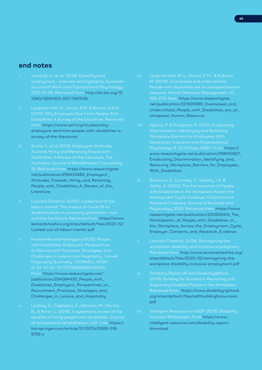# **end notes**

- i Vornholt, K., et al. (2018): Disability and 27(1), 40-55. Retrieved from: http://dx.doi.org/10. 1080/1359432X.2017.1387536
- Disabilities: A Survey of the Literature. Retrieved from: https://www.cprf.org/studies/whyemployers-dont-hire-people-with-disabilities-asurvey-of-the-literature/
- Towards Hiring and Retaining People with Disabilities: A Review of the Literature. The 19. Retrieved from: https://www.researchgate. net/publication/259433480\_Employers'\_ Attitudes\_Towards\_Hiring\_and\_Retaining\_ People\_with\_Disabilities\_A\_Review\_of\_the\_ Literature
- iv Leonard Cheshire. (2020). Locked out of the labour market: The impact of Covid-19 on disabled adults in accessing good work – now and into the future. Retrieved from: https://www. leonardcheshire.org/sites/default/files/2020-10/ Locked-out-of-labour-market.pdf
- v Houtenville and Kalargyrou (2012). People on Recruitment Practices, Strategies, and Q. 53. 40-52. 10.1177/1938965511424151. From: https://www.researchgate.net/ publication/254084430\_People\_with\_ Disabilities\_Employers'\_Perspectives\_on\_ Recruitment\_Practices\_Strategies\_and\_ Challenges in Leisure and Hospitality
- vi Lindsay, S., Cagliostro, E., Albarico, M., Mortaji, benefits of hiring people with disabilities. Journal of occupational rehabilitation, 1-22. Link: https:// link.springer.com/article/10.1007/s10926-018- 9756-z
- vii Lengnick-Hall, M. L., Gaunt, P. M., & Kulkarni, M. (2008). Overlooked and underutilized: 255–273. from: https://www.researchgate. net/publication/227635989\_Overlooked\_and\_ Underutilized\_People\_with\_Disabilities\_are\_an\_ Untapped\_Human\_Resource
- viii Hyland, P. & Rutigliano, P. (2013). Eradicating Disabilities. Industrial and Organizational Psychology. 6. 10.1111/iops.12087. From: https:// www.researchgate.net/publication/259550627\_ Eradicating\_Discrimination\_Identifying\_and\_ Removing\_Workplace\_Barriers\_for\_Employees\_ With Disabilities
- Jetha, A. (2020). The Participation of People Psychology, 35(2). Retrieved from: https://www. researchgate.net/publication/330828324\_The\_ Participation\_of\_People\_with\_Disabilities\_in\_ the\_Workplace\_Across\_the\_Employment\_Cycle\_ Employer\_Concerns\_and\_Research\_Evidence
- Retrieved from: http://www.leonardcheshire.org/ sites/default/files/2020-02/reimagining-theworkplace-disability-inclusive-employment.pdf
- xi Disability Rights UK and Disability@Work. Retrieved from:. https://www.disabilityrightsuk. org/sites/default/files/pdf/buildingforsuccess. pdf
- xii Intelligent Resource and BDF (2019). Disability Inclusion Whitepaper. From https://www. intelligent-resource.com/disability-reportdownload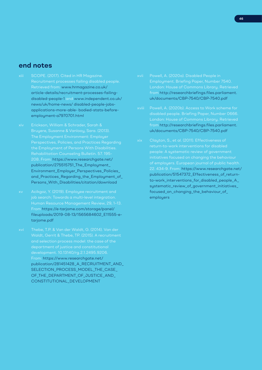# **end notes**

- Retrieved from: www.hrmagazine.co.uk/ article-details/recruitment-processes-failingdisabled-people-1 and www.independent.co.uk/ news/uk/home-news/ disabled-people-jobsapplications-more-able- bodied-stats-beforeemployment-a7970701.html
- xiv Erickson, William & Schrader, Sarah & Bruyere, Susanne & Vanlooy, Sara. (2013). Perspectives, Policies, and Practices Regarding the Employment of Persons With Disabilities. Rehabilitation Counseling Bulletin. 57. 195- 208. From: https://www.researchgate.net/ publication/275515751\_The\_Employment\_ Environment\_Employer\_Perspectives\_Policies\_ and\_Practices\_Regarding\_the\_Employment\_of\_ Persons\_With\_Disabilities/citation/download
- job search: Towards a multi-level integration. From https://e-tarjome.com/storage/panel/ fileuploads/2019-08-13/1565684602\_E11555-etarjome.pdf
- xvi Thebe, T.P. & Van der Waldt, G. (2014). Van der Waldt, Gerrit & Thebe, TP. (2015). A recruitment From: https://www.researchgate.net/ publication/281451428\_A\_RECRUITMENT\_AND SELECTION\_PROCESS\_MODEL\_THE\_CASE\_ OF THE DEPARTMENT OF JUSTICE AND CONSTITUTIONAL\_DEVELOPMENT
- xvii Powell, A. (2020a). Disabled People in Employment. Briefing Paper, Number 7540. from http://researchbriefings.files.parliament. uk/documents/CBP-7540/CBP-7540.pdf
- disabled people. Briefing Paper, Number 0666. from http://researchbriefings.files.parliament. uk/documents/CBP-7540/CBP-7540.pdf
- xix Clayton, S., et al. (2011). Effectiveness of 22. 434-9. From: https://www.researchgate.net/ publication/51547372\_Effectiveness\_of\_returnto-work\_interventions\_for\_disabled\_people\_A\_ systematic\_review\_of\_government\_initiatives\_ focused\_on\_changing\_the\_behaviour\_of\_ employers